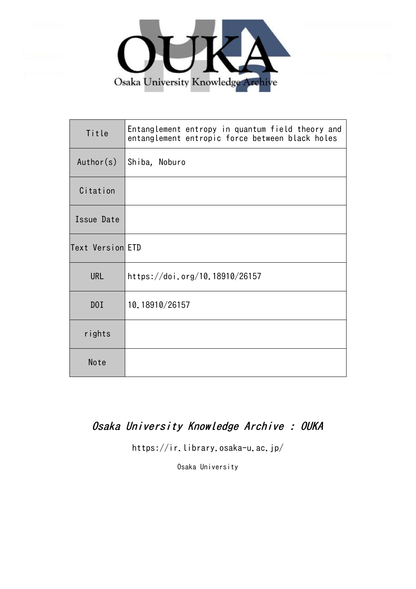

| Title            | Entanglement entropy in quantum field theory and<br>entanglement entropic force between black holes |
|------------------|-----------------------------------------------------------------------------------------------------|
| Author(s)        | Shiba, Noburo                                                                                       |
| Citation         |                                                                                                     |
| Issue Date       |                                                                                                     |
| Text Version ETD |                                                                                                     |
| <b>URL</b>       | https://doi.org/10.18910/26157                                                                      |
| D0I              | 10.18910/26157                                                                                      |
| rights           |                                                                                                     |
| Note             |                                                                                                     |

# Osaka University Knowledge Archive : OUKA

https://ir.library.osaka-u.ac.jp/

Osaka University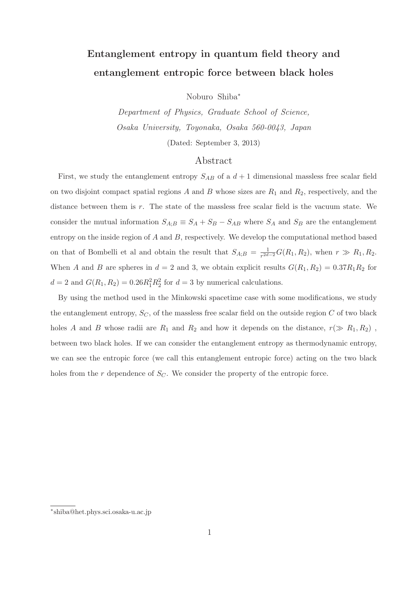# Entanglement entropy in quantum field theory and entanglement entropic force between black holes

Noburo Shiba<sup>∗</sup>

Department of Physics, Graduate School of Science, Osaka University, Toyonaka, Osaka 560-0043, Japan

(Dated: September 3, 2013)

### Abstract

First, we study the entanglement entropy  $S_{AB}$  of a  $d+1$  dimensional massless free scalar field on two disjoint compact spatial regions  $A$  and  $B$  whose sizes are  $R_1$  and  $R_2$ , respectively, and the distance between them is r. The state of the massless free scalar field is the vacuum state. We consider the mutual information  $S_{A;B} \equiv S_A + S_B - S_{AB}$  where  $S_A$  and  $S_B$  are the entanglement entropy on the inside region of  $A$  and  $B$ , respectively. We develop the computational method based on that of Bombelli et al and obtain the result that  $S_{A;B} = \frac{1}{r^{2d-2}}G(R_1, R_2)$ , when  $r \gg R_1, R_2$ . When A and B are spheres in  $d = 2$  and 3, we obtain explicit results  $G(R_1, R_2) = 0.37R_1R_2$  for  $d = 2$  and  $G(R_1, R_2) = 0.26R_1^2R_2^2$  for  $d = 3$  by numerical calculations.

By using the method used in the Minkowski spacetime case with some modifications, we study the entanglement entropy,  $S_C$ , of the massless free scalar field on the outside region C of two black holes A and B whose radii are  $R_1$  and  $R_2$  and how it depends on the distance,  $r(\gg R_1, R_2)$ , between two black holes. If we can consider the entanglement entropy as thermodynamic entropy, we can see the entropic force (we call this entanglement entropic force) acting on the two black holes from the  $r$  dependence of  $S_C$ . We consider the property of the entropic force.

<sup>∗</sup>shiba@het.phys.sci.osaka-u.ac.jp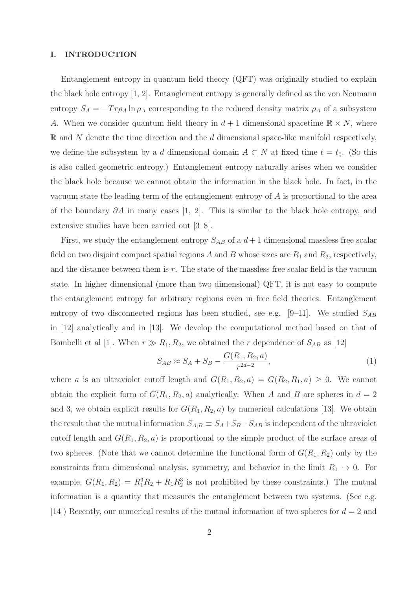#### I. INTRODUCTION

Entanglement entropy in quantum field theory (QFT) was originally studied to explain the black hole entropy [1, 2]. Entanglement entropy is generally defined as the von Neumann entropy  $S_A = -Tr \rho_A \ln \rho_A$  corresponding to the reduced density matrix  $\rho_A$  of a subsystem A. When we consider quantum field theory in  $d+1$  dimensional spacetime  $\mathbb{R} \times N$ , where  $\mathbb R$  and N denote the time direction and the d dimensional space-like manifold respectively, we define the subsystem by a d dimensional domain  $A \subset N$  at fixed time  $t = t_0$ . (So this is also called geometric entropy.) Entanglement entropy naturally arises when we consider the black hole because we cannot obtain the information in the black hole. In fact, in the vacuum state the leading term of the entanglement entropy of A is proportional to the area of the boundary  $\partial A$  in many cases [1, 2]. This is similar to the black hole entropy, and extensive studies have been carried out [3–8].

First, we study the entanglement entropy  $S_{AB}$  of a  $d+1$  dimensional massless free scalar field on two disjoint compact spatial regions A and B whose sizes are  $R_1$  and  $R_2$ , respectively, and the distance between them is r. The state of the massless free scalar field is the vacuum state. In higher dimensional (more than two dimensional) QFT, it is not easy to compute the entanglement entropy for arbitrary regiions even in free field theories. Entanglement entropy of two disconnected regions has been studied, see e.g.  $[9-11]$ . We studied  $S_{AB}$ in [12] analytically and in [13]. We develop the computational method based on that of Bombelli et al [1]. When  $r \gg R_1, R_2$ , we obtained the r dependence of  $S_{AB}$  as [12]

$$
S_{AB} \approx S_A + S_B - \frac{G(R_1, R_2, a)}{r^{2d-2}},
$$
\n(1)

where a is an ultraviolet cutoff length and  $G(R_1, R_2, a) = G(R_2, R_1, a) \geq 0$ . We cannot obtain the explicit form of  $G(R_1, R_2, a)$  analytically. When A and B are spheres in  $d = 2$ and 3, we obtain explicit results for  $G(R_1, R_2, a)$  by numerical calculations [13]. We obtain the result that the mutual information  $S_{A;B} \equiv S_A + S_B - S_{AB}$  is independent of the ultraviolet cutoff length and  $G(R_1, R_2, a)$  is proportional to the simple product of the surface areas of two spheres. (Note that we cannot determine the functional form of  $G(R_1, R_2)$  only by the constraints from dimensional analysis, symmetry, and behavior in the limit  $R_1 \rightarrow 0$ . For example,  $G(R_1, R_2) = R_1^3 R_2 + R_1 R_2^3$  is not prohibited by these constraints.) The mutual information is a quantity that measures the entanglement between two systems. (See e.g. [14]) Recently, our numerical results of the mutual information of two spheres for  $d = 2$  and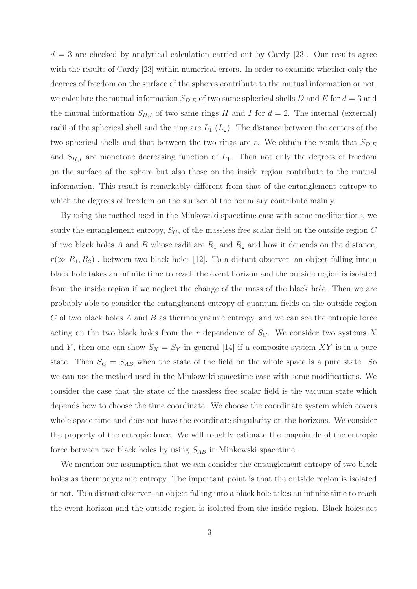$d = 3$  are checked by analytical calculation carried out by Cardy [23]. Our results agree with the results of Cardy [23] within numerical errors. In order to examine whether only the degrees of freedom on the surface of the spheres contribute to the mutual information or not, we calculate the mutual information  $S_{D;E}$  of two same spherical shells D and E for  $d=3$  and the mutual information  $S_{H;I}$  of two same rings H and I for  $d=2$ . The internal (external) radii of the spherical shell and the ring are  $L_1(L_2)$ . The distance between the centers of the two spherical shells and that between the two rings are r. We obtain the result that  $S_{D,E}$ and  $S_{H,I}$  are monotone decreasing function of  $L_1$ . Then not only the degrees of freedom on the surface of the sphere but also those on the inside region contribute to the mutual information. This result is remarkably different from that of the entanglement entropy to which the degrees of freedom on the surface of the boundary contribute mainly.

By using the method used in the Minkowski spacetime case with some modifications, we study the entanglement entropy,  $S_C$ , of the massless free scalar field on the outside region  $C$ of two black holes A and B whose radii are  $R_1$  and  $R_2$  and how it depends on the distance,  $r(\gg R_1, R_2)$ , between two black holes [12]. To a distant observer, an object falling into a black hole takes an infinite time to reach the event horizon and the outside region is isolated from the inside region if we neglect the change of the mass of the black hole. Then we are probably able to consider the entanglement entropy of quantum fields on the outside region C of two black holes A and B as thermodynamic entropy, and we can see the entropic force acting on the two black holes from the r dependence of  $S_C$ . We consider two systems X and Y, then one can show  $S_X = S_Y$  in general [14] if a composite system XY is in a pure state. Then  $S_C = S_{AB}$  when the state of the field on the whole space is a pure state. So we can use the method used in the Minkowski spacetime case with some modifications. We consider the case that the state of the massless free scalar field is the vacuum state which depends how to choose the time coordinate. We choose the coordinate system which covers whole space time and does not have the coordinate singularity on the horizons. We consider the property of the entropic force. We will roughly estimate the magnitude of the entropic force between two black holes by using  $S_{AB}$  in Minkowski spacetime.

We mention our assumption that we can consider the entanglement entropy of two black holes as thermodynamic entropy. The important point is that the outside region is isolated or not. To a distant observer, an object falling into a black hole takes an infinite time to reach the event horizon and the outside region is isolated from the inside region. Black holes act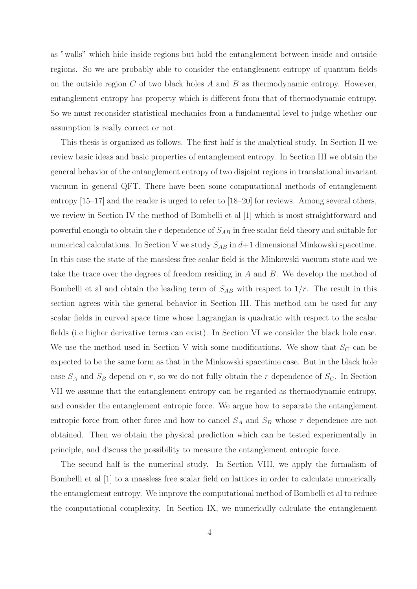as "walls" which hide inside regions but hold the entanglement between inside and outside regions. So we are probably able to consider the entanglement entropy of quantum fields on the outside region  $C$  of two black holes  $A$  and  $B$  as thermodynamic entropy. However, entanglement entropy has property which is different from that of thermodynamic entropy. So we must reconsider statistical mechanics from a fundamental level to judge whether our assumption is really correct or not.

This thesis is organized as follows. The first half is the analytical study. In Section II we review basic ideas and basic properties of entanglement entropy. In Section III we obtain the general behavior of the entanglement entropy of two disjoint regions in translational invariant vacuum in general QFT. There have been some computational methods of entanglement entropy [15–17] and the reader is urged to refer to [18–20] for reviews. Among several others, we review in Section IV the method of Bombelli et al [1] which is most straightforward and powerful enough to obtain the  $r$  dependence of  $S_{AB}$  in free scalar field theory and suitable for numerical calculations. In Section V we study  $S_{AB}$  in  $d+1$  dimensional Minkowski spacetime. In this case the state of the massless free scalar field is the Minkowski vacuum state and we take the trace over the degrees of freedom residing in A and B. We develop the method of Bombelli et al and obtain the leading term of  $S_{AB}$  with respect to  $1/r$ . The result in this section agrees with the general behavior in Section III. This method can be used for any scalar fields in curved space time whose Lagrangian is quadratic with respect to the scalar fields (i.e higher derivative terms can exist). In Section VI we consider the black hole case. We use the method used in Section V with some modifications. We show that  $S_C$  can be expected to be the same form as that in the Minkowski spacetime case. But in the black hole case  $S_A$  and  $S_B$  depend on r, so we do not fully obtain the r dependence of  $S_C$ . In Section VII we assume that the entanglement entropy can be regarded as thermodynamic entropy, and consider the entanglement entropic force. We argue how to separate the entanglement entropic force from other force and how to cancel  $S_A$  and  $S_B$  whose r dependence are not obtained. Then we obtain the physical prediction which can be tested experimentally in principle, and discuss the possibility to measure the entanglement entropic force.

The second half is the numerical study. In Section VIII, we apply the formalism of Bombelli et al [1] to a massless free scalar field on lattices in order to calculate numerically the entanglement entropy. We improve the computational method of Bombelli et al to reduce the computational complexity. In Section IX, we numerically calculate the entanglement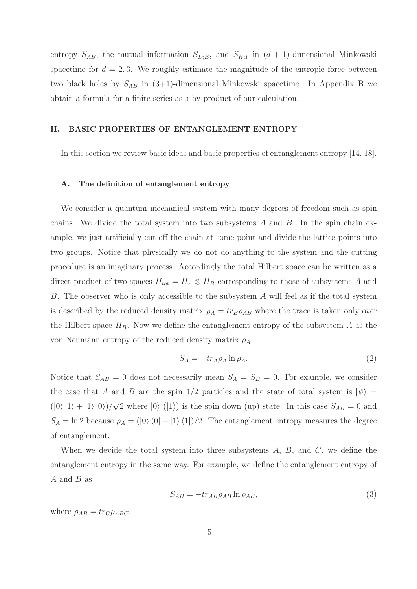entropy  $S_{AB}$ , the mutual information  $S_{D,E}$ , and  $S_{H,I}$  in  $(d+1)$ -dimensional Minkowski spacetime for  $d = 2, 3$ . We roughly estimate the magnitude of the entropic force between two black holes by  $S_{AB}$  in (3+1)-dimensional Minkowski spacetime. In Appendix B we obtain a formula for a finite series as a by-product of our calculation.

#### II. BASIC PROPERTIES OF ENTANGLEMENT ENTROPY

In this section we review basic ideas and basic properties of entanglement entropy [14, 18].

#### A. The definition of entanglement entropy

We consider a quantum mechanical system with many degrees of freedom such as spin chains. We divide the total system into two subsystems  $A$  and  $B$ . In the spin chain example, we just artificially cut off the chain at some point and divide the lattice points into two groups. Notice that physically we do not do anything to the system and the cutting procedure is an imaginary process. Accordingly the total Hilbert space can be written as a direct product of two spaces  $H_{tot} = H_A \otimes H_B$  corresponding to those of subsystems A and B. The observer who is only accessible to the subsystem A will feel as if the total system is described by the reduced density matrix  $\rho_A = tr_B \rho_{AB}$  where the trace is taken only over the Hilbert space  $H_B$ . Now we define the entanglement entropy of the subsystem A as the von Neumann entropy of the reduced density matrix  $\rho_A$ 

$$
S_A = -tr_{A}\rho_A \ln \rho_A. \tag{2}
$$

Notice that  $S_{AB} = 0$  does not necessarily mean  $S_A = S_B = 0$ . For example, we consider the case that A and B are the spin  $1/2$  particles and the state of total system is  $|\psi\rangle =$  $(|0\rangle|1\rangle + |1\rangle|0\rangle)/\sqrt{2}$  where  $|0\rangle(|1\rangle)$  is the spin down (up) state. In this case  $S_{AB} = 0$  and  $S_A = \ln 2$  because  $\rho_A = (\ket{0} \bra{0} + \ket{1} \bra{1})/2$ . The entanglement entropy measures the degree of entanglement.

When we devide the total system into three subsystems  $A, B, A$ , and  $C$ , we define the entanglement entropy in the same way. For example, we define the entanglement entropy of A and B as

$$
S_{AB} = -tr_{AB}\rho_{AB}\ln\rho_{AB},\tag{3}
$$

where  $\rho_{AB} = tr_C \rho_{ABC}$ .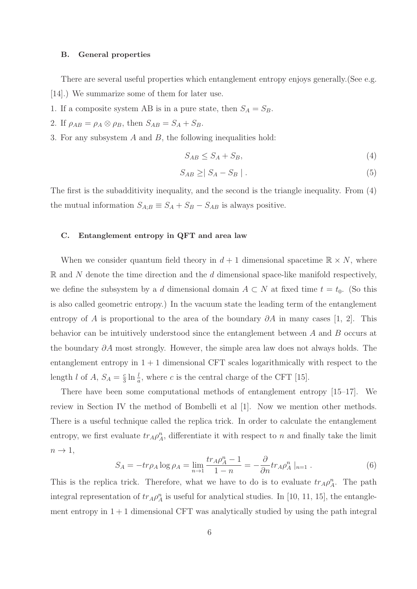#### B. General properties

There are several useful properties which entanglement entropy enjoys generally.(See e.g. [14].) We summarize some of them for later use.

- 1. If a composite system AB is in a pure state, then  $S_A = S_B$ .
- 2. If  $\rho_{AB} = \rho_A \otimes \rho_B$ , then  $S_{AB} = S_A + S_B$ .
- 3. For any subsystem A and B, the following inequalities hold:

$$
S_{AB} \leq S_A + S_B,\tag{4}
$$

$$
S_{AB} \geq | S_A - S_B | . \tag{5}
$$

The first is the subadditivity inequality, and the second is the triangle inequality. From (4) the mutual information  $S_{A;B} \equiv S_A + S_B - S_{AB}$  is always positive.

#### C. Entanglement entropy in QFT and area law

When we consider quantum field theory in  $d+1$  dimensional spacetime  $\mathbb{R} \times N$ , where  $\mathbb R$  and N denote the time direction and the  $d$  dimensional space-like manifold respectively, we define the subsystem by a d dimensional domain  $A \subset N$  at fixed time  $t = t_0$ . (So this is also called geometric entropy.) In the vacuum state the leading term of the entanglement entropy of A is proportional to the area of the boundary  $\partial A$  in many cases [1, 2]. This behavior can be intuitively understood since the entanglement between A and B occurs at the boundary ∂A most strongly. However, the simple area law does not always holds. The entanglement entropy in  $1 + 1$  dimensional CFT scales logarithmically with respect to the length *l* of *A*,  $S_A = \frac{c}{3} \ln \frac{l}{a}$ , where *c* is the central charge of the CFT [15].

There have been some computational methods of entanglement entropy [15–17]. We review in Section IV the method of Bombelli et al [1]. Now we mention other methods. There is a useful technique called the replica trick. In order to calculate the entanglement entropy, we first evaluate  $tr_A \rho_A^n$ , differentiate it with respect to n and finally take the limit  $n \rightarrow 1$ ,

$$
S_A = -tr\rho_A \log \rho_A = \lim_{n \to 1} \frac{tr_A \rho_A^n - 1}{1 - n} = -\frac{\partial}{\partial n} tr_A \rho_A^n \mid_{n = 1}.
$$
 (6)

This is the replica trick. Therefore, what we have to do is to evaluate  $tr_A \rho_A^n$ . The path integral representation of  $tr_A \rho_A^n$  is useful for analytical studies. In [10, 11, 15], the entanglement entropy in  $1 + 1$  dimensional CFT was analytically studied by using the path integral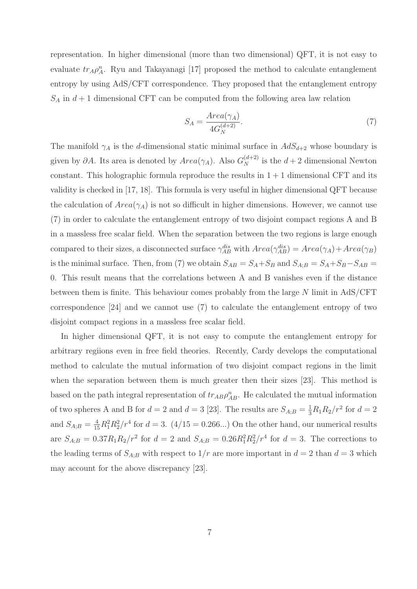representation. In higher dimensional (more than two dimensional) QFT, it is not easy to evaluate  $tr_A \rho_A^n$ . Ryu and Takayanagi [17] proposed the method to calculate entanglement entropy by using AdS/CFT correspondence. They proposed that the entanglement entropy  $S_A$  in  $d+1$  dimensional CFT can be computed from the following area law relation

$$
S_A = \frac{Area(\gamma_A)}{4G_N^{(d+2)}}.\tag{7}
$$

The manifold  $\gamma_A$  is the d-dimensional static minimal surface in  $AdS_{d+2}$  whose boundary is given by  $\partial A$ . Its area is denoted by  $Area(\gamma_A)$ . Also  $G_N^{(d+2)}$  is the  $d+2$  dimensional Newton constant. This holographic formula reproduce the results in  $1 + 1$  dimensional CFT and its validity is checked in [17, 18]. This formula is very useful in higher dimensional QFT because the calculation of  $Area(\gamma_A)$  is not so difficult in higher dimensions. However, we cannot use (7) in order to calculate the entanglement entropy of two disjoint compact regions A and B in a massless free scalar field. When the separation between the two regions is large enough compared to their sizes, a disconnected surface  $\gamma_{AB}^{dis}$  with  $Area(\gamma_{AB}) = Area(\gamma_A) + Area(\gamma_B)$ is the minimal surface. Then, from (7) we obtain  $S_{AB} = S_A + S_B$  and  $S_{A;B} = S_A + S_B - S_{AB}$ 0. This result means that the correlations between A and B vanishes even if the distance between them is finite. This behaviour comes probably from the large N limit in AdS/CFT correspondence [24] and we cannot use (7) to calculate the entanglement entropy of two disjoint compact regions in a massless free scalar field.

In higher dimensional QFT, it is not easy to compute the entanglement entropy for arbitrary regiions even in free field theories. Recently, Cardy develops the computational method to calculate the mutual information of two disjoint compact regions in the limit when the separation between them is much greater then their sizes [23]. This method is based on the path integral representation of  $tr_{AB}\rho_{AB}^n$ . He calculated the mutual information of two spheres A and B for  $d = 2$  and  $d = 3$  [23]. The results are  $S_{A;B} = \frac{1}{3}R_1R_2/r^2$  for  $d = 2$ and  $S_{A;B} = \frac{4}{15} R_1^2 R_2^2 / r^4$  for  $d = 3$ . (4/15 = 0.266...) On the other hand, our numerical results are  $S_{A;B} = 0.37 R_1 R_2 / r^2$  for  $d = 2$  and  $S_{A;B} = 0.26 R_1^2 R_2^2 / r^4$  for  $d = 3$ . The corrections to the leading terms of  $S_{A;B}$  with respect to  $1/r$  are more important in  $d = 2$  than  $d = 3$  which may account for the above discrepancy [23].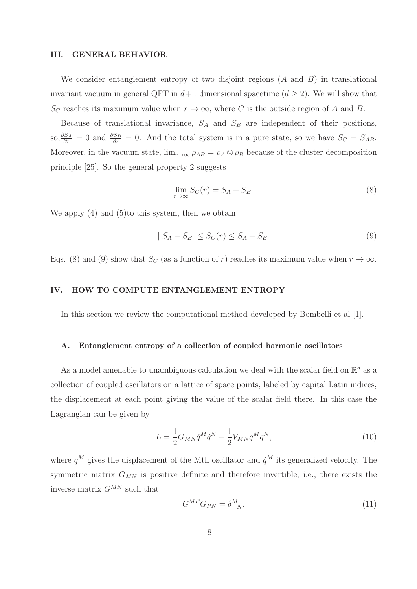#### III. GENERAL BEHAVIOR

We consider entanglement entropy of two disjoint regions  $(A \text{ and } B)$  in translational invariant vacuum in general QFT in  $d+1$  dimensional spacetime  $(d \geq 2)$ . We will show that  $S_C$  reaches its maximum value when  $r \to \infty$ , where C is the outside region of A and B.

Because of translational invariance,  $S_A$  and  $S_B$  are independent of their positions, so,  $\frac{\partial S_A}{\partial r} = 0$  and  $\frac{\partial S_B}{\partial r} = 0$ . And the total system is in a pure state, so we have  $S_C = S_{AB}$ . Moreover, in the vacuum state,  $\lim_{r\to\infty} \rho_{AB} = \rho_A \otimes \rho_B$  because of the cluster decomposition principle [25]. So the general property 2 suggests

$$
\lim_{r \to \infty} S_C(r) = S_A + S_B. \tag{8}
$$

We apply  $(4)$  and  $(5)$ to this system, then we obtain

$$
|S_A - S_B| \le S_C(r) \le S_A + S_B. \tag{9}
$$

Eqs. (8) and (9) show that  $S_C$  (as a function of r) reaches its maximum value when  $r \to \infty$ .

#### IV. HOW TO COMPUTE ENTANGLEMENT ENTROPY

In this section we review the computational method developed by Bombelli et al [1].

#### A. Entanglement entropy of a collection of coupled harmonic oscillators

As a model amenable to unambiguous calculation we deal with the scalar field on  $\mathbb{R}^d$  as a collection of coupled oscillators on a lattice of space points, labeled by capital Latin indices, the displacement at each point giving the value of the scalar field there. In this case the Lagrangian can be given by

$$
L = \frac{1}{2} G_{MN} \dot{q}^M \dot{q}^N - \frac{1}{2} V_{MN} q^M q^N,
$$
\n(10)

where  $q^M$  gives the displacement of the Mth oscillator and  $\dot{q}^M$  its generalized velocity. The symmetric matrix  $G_{MN}$  is positive definite and therefore invertible; i.e., there exists the inverse matrix  $G^{MN}$  such that

$$
G^{MP}G_{PN} = \delta^M_{N}.\tag{11}
$$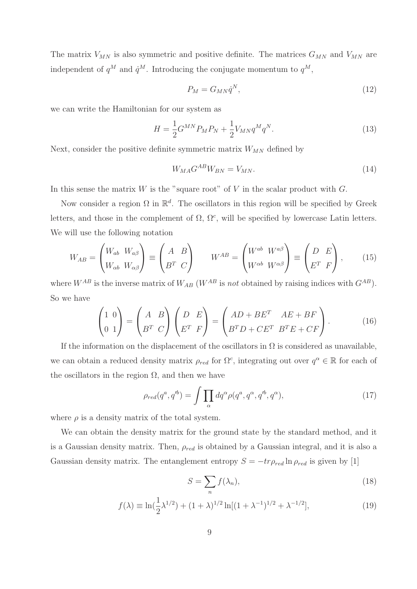The matrix  $V_{MN}$  is also symmetric and positive definite. The matrices  $G_{MN}$  and  $V_{MN}$  are independent of  $q^M$  and  $\dot{q}^M$ . Introducing the conjugate momentum to  $q^M$ ,

$$
P_M = G_{MN} \dot{q}^N,\tag{12}
$$

we can write the Hamiltonian for our system as

$$
H = \frac{1}{2} G^{MN} P_M P_N + \frac{1}{2} V_{MN} q^M q^N.
$$
\n(13)

Next, consider the positive definite symmetric matrix  $W_{MN}$  defined by

$$
W_{MA} G^{AB} W_{BN} = V_{MN}.\tag{14}
$$

In this sense the matrix  $W$  is the "square root" of  $V$  in the scalar product with  $G$ .

Now consider a region  $\Omega$  in  $\mathbb{R}^d$ . The oscillators in this region will be specified by Greek letters, and those in the complement of  $\Omega$ ,  $\Omega^c$ , will be specified by lowercase Latin letters. We will use the following notation

$$
W_{AB} = \begin{pmatrix} W_{ab} & W_{a\beta} \\ W_{\alpha b} & W_{\alpha \beta} \end{pmatrix} \equiv \begin{pmatrix} A & B \\ B^T & C \end{pmatrix} \qquad W^{AB} = \begin{pmatrix} W^{ab} & W^{a\beta} \\ W^{\alpha b} & W^{\alpha \beta} \end{pmatrix} \equiv \begin{pmatrix} D & E \\ E^T & F \end{pmatrix}, \qquad (15)
$$

where  $W^{AB}$  is the inverse matrix of  $W_{AB}$  ( $W^{AB}$  is not obtained by raising indices with  $G^{AB}$ ). So we have

$$
\begin{pmatrix} 1 & 0 \ 0 & 1 \end{pmatrix} = \begin{pmatrix} A & B \ B^T & C \end{pmatrix} \begin{pmatrix} D & E \ E^T & F \end{pmatrix} = \begin{pmatrix} AD + BE^T & AE + BF \ B^TD + CE^T & B^TE + CF \end{pmatrix}.
$$
 (16)

If the information on the displacement of the oscillators in  $\Omega$  is considered as unavailable, we can obtain a reduced density matrix  $\rho_{red}$  for  $\Omega^c$ , integrating out over  $q^{\alpha} \in \mathbb{R}$  for each of the oscillators in the region  $\Omega$ , and then we have

$$
\rho_{red}(q^a, q'^b) = \int \prod_{\alpha} dq^{\alpha} \rho(q^a, q^{\alpha}, q'^b, q^{\alpha}), \qquad (17)
$$

where  $\rho$  is a density matrix of the total system.

We can obtain the density matrix for the ground state by the standard method, and it is a Gaussian density matrix. Then,  $\rho_{red}$  is obtained by a Gaussian integral, and it is also a Gaussian density matrix. The entanglement entropy  $S = -tr\rho_{red} \ln \rho_{red}$  is given by [1]

$$
S = \sum_{n} f(\lambda_n),\tag{18}
$$

$$
f(\lambda) \equiv \ln(\frac{1}{2}\lambda^{1/2}) + (1+\lambda)^{1/2}\ln[(1+\lambda^{-1})^{1/2} + \lambda^{-1/2}], \tag{19}
$$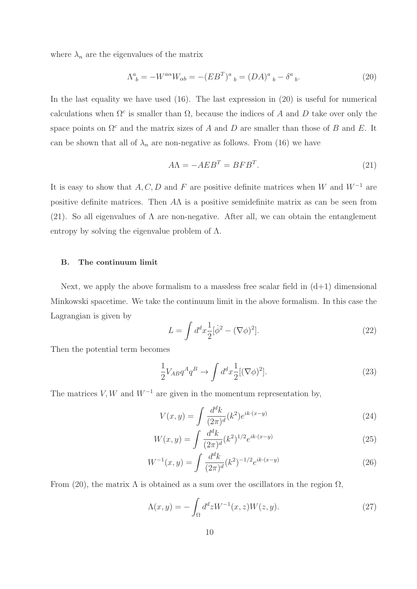where  $\lambda_n$  are the eigenvalues of the matrix

$$
\Lambda^{a}_{\ b} = -W^{a\alpha}W_{\alpha b} = -(EB^{T})^{a}_{\ b} = (DA)^{a}_{\ b} - \delta^{a}_{\ b}.
$$
 (20)

In the last equality we have used (16). The last expression in (20) is useful for numerical calculations when  $\Omega^c$  is smaller than  $\Omega$ , because the indices of A and D take over only the space points on  $\Omega^c$  and the matrix sizes of A and D are smaller than those of B and E. It can be shown that all of  $\lambda_n$  are non-negative as follows. From (16) we have

$$
A\Lambda = -AEB^T = BFB^T. \tag{21}
$$

It is easy to show that A, C, D and F are positive definite matrices when W and  $W^{-1}$  are positive definite matrices. Then  $A\Lambda$  is a positive semidefinite matrix as can be seen from (21). So all eigenvalues of  $\Lambda$  are non-negative. After all, we can obtain the entanglement entropy by solving the eigenvalue problem of  $\Lambda$ .

#### B. The continuum limit

Next, we apply the above formalism to a massless free scalar field in  $(d+1)$  dimensional Minkowski spacetime. We take the continuum limit in the above formalism. In this case the Lagrangian is given by

$$
L = \int d^d x \frac{1}{2} [\dot{\phi}^2 - (\nabla \phi)^2].
$$
 (22)

Then the potential term becomes

$$
\frac{1}{2}V_{AB}q^A q^B \to \int d^d x \frac{1}{2} [(\nabla \phi)^2].
$$
\n(23)

The matrices  $V, W$  and  $W^{-1}$  are given in the momentum representation by,

$$
V(x,y) = \int \frac{d^d k}{(2\pi)^d} (k^2) e^{ik \cdot (x-y)} \tag{24}
$$

$$
W(x,y) = \int \frac{d^d k}{(2\pi)^d} (k^2)^{1/2} e^{ik \cdot (x-y)} \tag{25}
$$

$$
W^{-1}(x,y) = \int \frac{d^d k}{(2\pi)^d} (k^2)^{-1/2} e^{ik \cdot (x-y)} \tag{26}
$$

From (20), the matrix  $\Lambda$  is obtained as a sum over the oscillators in the region  $\Omega$ ,

$$
\Lambda(x,y) = -\int_{\Omega} d^d z W^{-1}(x,z) W(z,y). \tag{27}
$$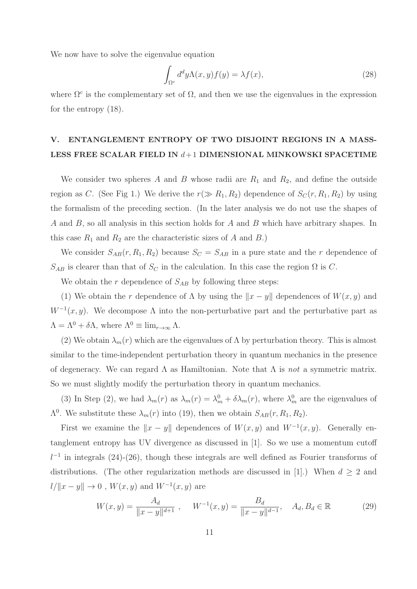We now have to solve the eigenvalue equation

$$
\int_{\Omega^c} d^d y \Lambda(x, y) f(y) = \lambda f(x),\tag{28}
$$

where  $\Omega^c$  is the complementary set of  $\Omega$ , and then we use the eigenvalues in the expression for the entropy (18).

## V. ENTANGLEMENT ENTROPY OF TWO DISJOINT REGIONS IN A MASS-LESS FREE SCALAR FIELD IN  $d+1$  DIMENSIONAL MINKOWSKI SPACETIME

We consider two spheres A and B whose radii are  $R_1$  and  $R_2$ , and define the outside region as C. (See Fig 1.) We derive the  $r(\gg R_1, R_2)$  dependence of  $S_C(r, R_1, R_2)$  by using the formalism of the preceding section. (In the later analysis we do not use the shapes of A and B, so all analysis in this section holds for A and B which have arbitrary shapes. In this case  $R_1$  and  $R_2$  are the characteristic sizes of A and B.)

We consider  $S_{AB}(r, R_1, R_2)$  because  $S_C = S_{AB}$  in a pure state and the r dependence of  $S_{AB}$  is clearer than that of  $S_C$  in the calculation. In this case the region  $\Omega$  is C.

We obtain the r dependence of  $S_{AB}$  by following three steps:

(1) We obtain the r dependence of  $\Lambda$  by using the  $||x - y||$  dependences of  $W(x, y)$  and  $W^{-1}(x, y)$ . We decompose  $\Lambda$  into the non-perturbative part and the perturbative part as  $\Lambda = \Lambda^0 + \delta \Lambda$ , where  $\Lambda^0 \equiv \lim_{r \to \infty} \Lambda$ .

(2) We obtain  $\lambda_m(r)$  which are the eigenvalues of  $\Lambda$  by perturbation theory. This is almost similar to the time-independent perturbation theory in quantum mechanics in the presence of degeneracy. We can regard  $\Lambda$  as Hamiltonian. Note that  $\Lambda$  is not a symmetric matrix. So we must slightly modify the perturbation theory in quantum mechanics.

(3) In Step (2), we had  $\lambda_m(r)$  as  $\lambda_m(r) = \lambda_m^0 + \delta \lambda_m(r)$ , where  $\lambda_m^0$  are the eigenvalues of  $\Lambda^0$ . We substitute these  $\lambda_m(r)$  into (19), then we obtain  $S_{AB}(r, R_1, R_2)$ .

First we examine the  $||x - y||$  dependences of  $W(x, y)$  and  $W^{-1}(x, y)$ . Generally entanglement entropy has UV divergence as discussed in [1]. So we use a momentum cutoff  $l^{-1}$  in integrals (24)-(26), though these integrals are well defined as Fourier transforms of distributions. (The other regularization methods are discussed in [1].) When  $d \geq 2$  and  $l/||x-y|| \to 0$ ,  $W(x, y)$  and  $W^{-1}(x, y)$  are

$$
W(x,y) = \frac{A_d}{\|x-y\|^{d+1}}, \quad W^{-1}(x,y) = \frac{B_d}{\|x-y\|^{d-1}}, \quad A_d, B_d \in \mathbb{R}
$$
 (29)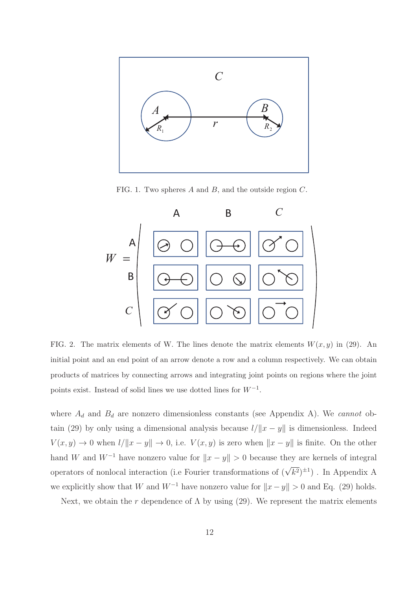

FIG. 1. Two spheres A and B, and the outside region C.



FIG. 2. The matrix elements of W. The lines denote the matrix elements  $W(x, y)$  in (29). An initial point and an end point of an arrow denote a row and a column respectively. We can obtain products of matrices by connecting arrows and integrating joint points on regions where the joint points exist. Instead of solid lines we use dotted lines for  $W^{-1}$ .

where  $A_d$  and  $B_d$  are nonzero dimensionless constants (see Appendix A). We cannot obtain (29) by only using a dimensional analysis because  $l/||x - y||$  is dimensionless. Indeed  $V(x, y) \to 0$  when  $l/||x - y|| \to 0$ , i.e.  $V(x, y)$  is zero when  $||x - y||$  is finite. On the other hand W and  $W^{-1}$  have nonzero value for  $||x - y|| > 0$  because they are kernels of integral operators of nonlocal interaction (i.e Fourier transformations of  $(\sqrt{k^2})^{\pm 1}$ ). In Appendix A we explicitly show that W and  $W^{-1}$  have nonzero value for  $||x - y|| > 0$  and Eq. (29) holds.

Next, we obtain the r dependence of  $\Lambda$  by using (29). We represent the matrix elements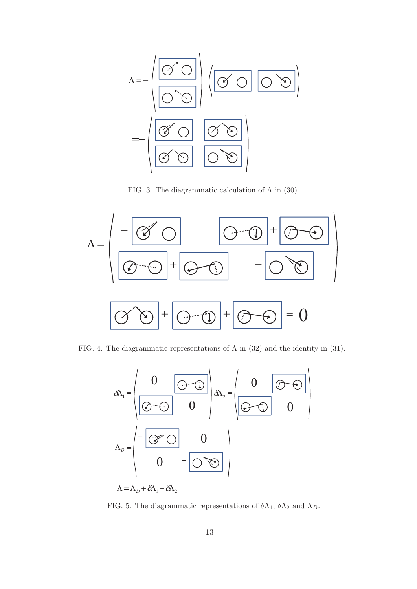

FIG. 3. The diagrammatic calculation of  $\Lambda$  in (30).



FIG. 4. The diagrammatic representations of  $\Lambda$  in (32) and the identity in (31).



 $\Lambda = \Lambda_D + \delta \Lambda_1 + \delta \Lambda_2$ 

FIG. 5. The diagrammatic representations of  $\delta\Lambda_1$ ,  $\delta\Lambda_2$  and  $\Lambda_D$ .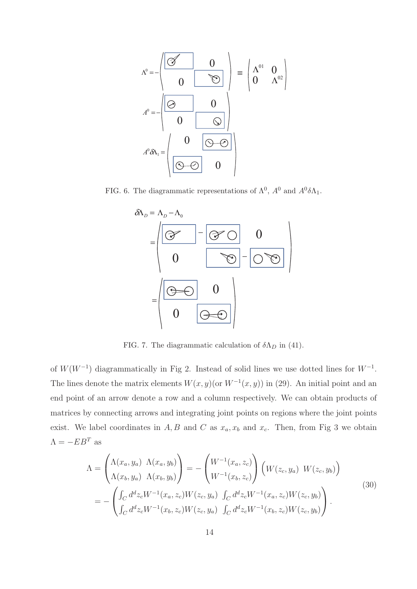$$
\Lambda^0 = -\begin{pmatrix} \boxed{\mathcal{A}} & 0 \\ 0 & \boxed{\mathcal{B}} \end{pmatrix} \equiv \begin{pmatrix} \Lambda^{01} & 0 \\ 0 & \Lambda^{02} \end{pmatrix}
$$
\n
$$
A^0 = -\begin{pmatrix} \boxed{\mathcal{A}} & 0 \\ 0 & \boxed{\mathcal{A}} \end{pmatrix}
$$
\n
$$
A^0 \delta \Lambda_1 = \begin{pmatrix} 0 & \boxed{\mathcal{A} \oplus \mathcal{A}} \\ \boxed{\mathcal{A} \oplus \mathcal{A}} & 0 \end{pmatrix}
$$

FIG. 6. The diagrammatic representations of  $\Lambda^0$ ,  $A^0$  and  $A^0 \delta \Lambda_1$ .



FIG. 7. The diagrammatic calculation of  $\delta \Lambda_D$  in (41).

of  $W(W^{-1})$  diagrammatically in Fig 2. Instead of solid lines we use dotted lines for  $W^{-1}$ . The lines denote the matrix elements  $W(x, y)$  (or  $W^{-1}(x, y)$ ) in (29). An initial point and an end point of an arrow denote a row and a column respectively. We can obtain products of matrices by connecting arrows and integrating joint points on regions where the joint points exist. We label coordinates in  $A, B$  and  $C$  as  $x_a, x_b$  and  $x_c$ . Then, from Fig 3 we obtain  $\Lambda = -EB^T$  as

$$
\Lambda = \begin{pmatrix}\n\Lambda(x_a, y_a) & \Lambda(x_a, y_b) \\
\Lambda(x_b, y_a) & \Lambda(x_b, y_b)\n\end{pmatrix} = -\begin{pmatrix}\nW^{-1}(x_a, z_c) \\
W^{-1}(x_b, z_c)\n\end{pmatrix} \begin{pmatrix}\nW(z_c, y_a) & W(z_c, y_b)\n\end{pmatrix}
$$
\n
$$
= -\begin{pmatrix}\n\int_C d^d z_c W^{-1}(x_a, z_c) W(z_c, y_a) & \int_C d^d z_c W^{-1}(x_a, z_c) W(z_c, y_b) \\
\int_C d^d z_c W^{-1}(x_b, z_c) W(z_c, y_a) & \int_C d^d z_c W^{-1}(x_b, z_c) W(z_c, y_b)\n\end{pmatrix}.
$$
\n(30)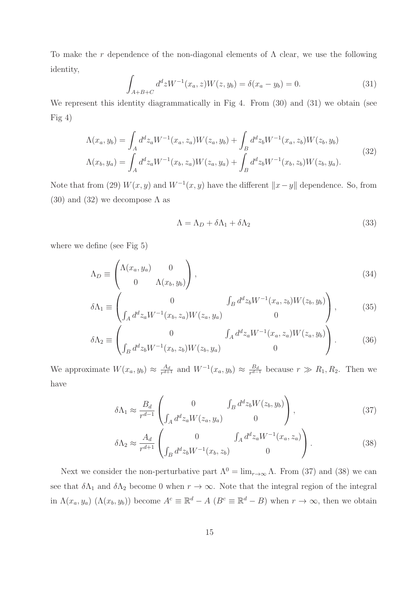To make the r dependence of the non-diagonal elements of  $\Lambda$  clear, we use the following identity,

$$
\int_{A+B+C} d^d z W^{-1}(x_a, z) W(z, y_b) = \delta(x_a - y_b) = 0.
$$
\n(31)

We represent this identity diagrammatically in Fig 4. From  $(30)$  and  $(31)$  we obtain (see Fig 4)

$$
\Lambda(x_a, y_b) = \int_A d^d z_a W^{-1}(x_a, z_a) W(z_a, y_b) + \int_B d^d z_b W^{-1}(x_a, z_b) W(z_b, y_b)
$$
\n
$$
\Lambda(x_b, y_a) = \int_A d^d z_a W^{-1}(x_b, z_a) W(z_a, y_a) + \int_B d^d z_b W^{-1}(x_b, z_b) W(z_b, y_a).
$$
\n(32)

Note that from (29)  $W(x, y)$  and  $W^{-1}(x, y)$  have the different  $||x - y||$  dependence. So, from (30) and (32) we decompose  $\Lambda$  as

$$
\Lambda = \Lambda_D + \delta \Lambda_1 + \delta \Lambda_2 \tag{33}
$$

where we define (see Fig 5)

$$
\Lambda_D \equiv \begin{pmatrix} \Lambda(x_a, y_a) & 0 \\ 0 & \Lambda(x_b, y_b) \end{pmatrix}, \tag{34}
$$

$$
\delta\Lambda_1 \equiv \begin{pmatrix} 0 & \int_B d^d z_b W^{-1}(x_a, z_b) W(z_b, y_b) \\ \int_A d^d z_a W^{-1}(x_b, z_a) W(z_a, y_a) & 0 \end{pmatrix}, \tag{35}
$$

$$
\delta\Lambda_2 \equiv \begin{pmatrix} 0 & \int_A d^d z_a W^{-1}(x_a, z_a) W(z_a, y_b) \\ \int_B d^d z_b W^{-1}(x_b, z_b) W(z_b, y_a) & 0 \end{pmatrix} . \tag{36}
$$

We approximate  $W(x_a, y_b) \approx \frac{A_d}{r^{d+1}}$  and  $W^{-1}(x_a, y_b) \approx \frac{B_d}{r^{d-1}}$  because  $r \gg R_1, R_2$ . Then we have

$$
\delta \Lambda_1 \approx \frac{B_d}{r^{d-1}} \begin{pmatrix} 0 & \int_B d^d z_b W(z_b, y_b) \\ \int_A d^d z_a W(z_a, y_a) & 0 \end{pmatrix},
$$
\n(37)

$$
\delta \Lambda_2 \approx \frac{A_d}{r^{d+1}} \begin{pmatrix} 0 & \int_A d^d z_a W^{-1}(x_a, z_a) \\ \int_B d^d z_b W^{-1}(x_b, z_b) & 0 \end{pmatrix} . \tag{38}
$$

Next we consider the non-perturbative part  $\Lambda^0 = \lim_{r \to \infty} \Lambda$ . From (37) and (38) we can see that  $\delta\Lambda_1$  and  $\delta\Lambda_2$  become 0 when  $r \to \infty$ . Note that the integral region of the integral in  $\Lambda(x_a, y_a)$   $(\Lambda(x_b, y_b))$  become  $A^c \equiv \mathbb{R}^d - A$   $(B^c \equiv \mathbb{R}^d - B)$  when  $r \to \infty$ , then we obtain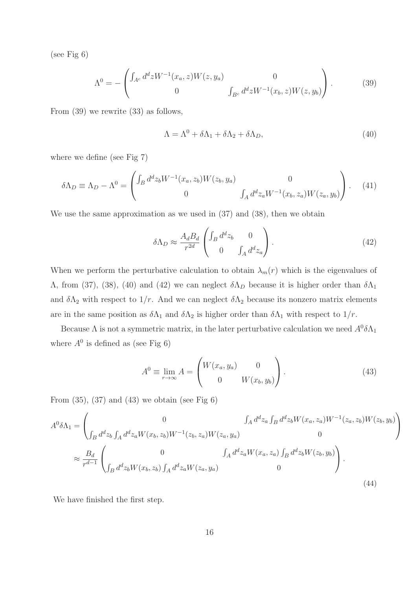(see Fig 6)

$$
\Lambda^{0} = -\begin{pmatrix} \int_{A^{c}} d^{d}z W^{-1}(x_{a}, z)W(z, y_{a}) & 0\\ 0 & \int_{B^{c}} d^{d}z W^{-1}(x_{b}, z)W(z, y_{b}) \end{pmatrix}.
$$
 (39)

From (39) we rewrite (33) as follows,

$$
\Lambda = \Lambda^0 + \delta\Lambda_1 + \delta\Lambda_2 + \delta\Lambda_D,\tag{40}
$$

where we define (see Fig 7)

$$
\delta \Lambda_D \equiv \Lambda_D - \Lambda^0 = \begin{pmatrix} \int_B d^d z_b W^{-1}(x_a, z_b) W(z_b, y_a) & 0 \\ 0 & \int_A d^d z_a W^{-1}(x_b, z_a) W(z_a, y_b) \end{pmatrix} . \tag{41}
$$

We use the same approximation as we used in  $(37)$  and  $(38)$ , then we obtain

$$
\delta \Lambda_D \approx \frac{A_d B_d}{r^{2d}} \begin{pmatrix} \int_B d^d z_b & 0\\ 0 & \int_A d^d z_a \end{pmatrix} . \tag{42}
$$

When we perform the perturbative calculation to obtain  $\lambda_m(r)$  which is the eigenvalues of Λ, from (37), (38), (40) and (42) we can neglect  $δΛ<sub>D</sub>$  because it is higher order than  $δΛ<sub>1</sub>$ and  $\delta\Lambda_2$  with respect to  $1/r$ . And we can neglect  $\delta\Lambda_2$  because its nonzero matrix elements are in the same position as  $\delta\Lambda_1$  and  $\delta\Lambda_2$  is higher order than  $\delta\Lambda_1$  with respect to  $1/r$ .

Because  $\Lambda$  is not a symmetric matrix, in the later perturbative calculation we need  $A^0 \delta \Lambda_1$ where  $A^0$  is defined as (see Fig 6)

$$
A^{0} \equiv \lim_{r \to \infty} A = \begin{pmatrix} W(x_{a}, y_{a}) & 0 \\ 0 & W(x_{b}, y_{b}) \end{pmatrix}.
$$
 (43)

From  $(35)$ ,  $(37)$  and  $(43)$  we obtain (see Fig 6)

$$
A^{0}\delta\Lambda_{1} = \begin{pmatrix} 0 & \int_{A} d^{d}z_{a} \int_{B} d^{d}z_{b} W(x_{a}, z_{a})W^{-1}(z_{a}, z_{b})W(z_{b}, y_{b}) \\ \int_{B} d^{d}z_{b} \int_{A} d^{d}z_{a} W(x_{b}, z_{b})W^{-1}(z_{b}, z_{a})W(z_{a}, y_{a}) & 0 \end{pmatrix}
$$

$$
\approx \frac{B_{d}}{r^{d-1}} \begin{pmatrix} 0 & \int_{A} d^{d}z_{a} W(x_{a}, z_{a}) \int_{B} d^{d}z_{b} W(z_{b}, y_{b}) \\ \int_{B} d^{d}z_{b} W(x_{b}, z_{b}) \int_{A} d^{d}z_{a} W(z_{a}, y_{a}) & 0 \end{pmatrix}.
$$
(44)

We have finished the first step.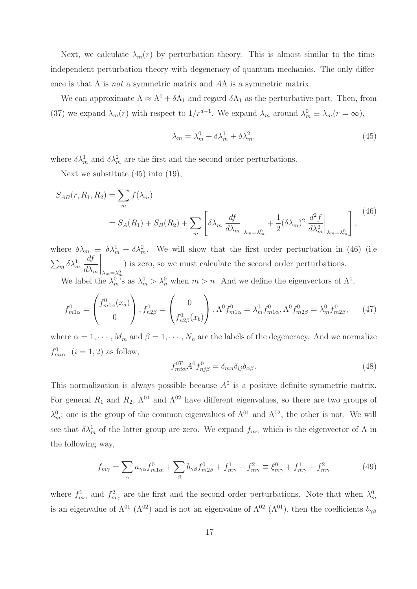Next, we calculate  $\lambda_m(r)$  by perturbation theory. This is almost similar to the timeindependent perturbation theory with degeneracy of quantum mechanics. The only difference is that  $\Lambda$  is *not* a symmetric matrix and  $A\Lambda$  is a symmetric matrix.

We can approximate  $\Lambda \approx \Lambda^0 + \delta \Lambda_1$  and regard  $\delta \Lambda_1$  as the perturbative part. Then, from (37) we expand  $\lambda_m(r)$  with respect to  $1/r^{d-1}$ . We expand  $\lambda_m$  around  $\lambda_m^0 \equiv \lambda_m(r = \infty)$ ,

$$
\lambda_m = \lambda_m^0 + \delta \lambda_m^1 + \delta \lambda_m^2,\tag{45}
$$

where  $\delta \lambda_m^1$  and  $\delta \lambda_m^2$  are the first and the second order perturbations.

Next we substitute (45) into (19),

$$
S_{AB}(r, R_1, R_2) = \sum_m f(\lambda_m)
$$
  
=  $S_A(R_1) + S_B(R_2) + \sum_m \left[ \delta \lambda_m \frac{df}{d\lambda_m} \Big|_{\lambda_m = \lambda_m^0} + \frac{1}{2} (\delta \lambda_m)^2 \frac{d^2 f}{d\lambda_m^2} \Big|_{\lambda_m = \lambda_m^0} \right],$  (46)

where  $\delta \lambda_m \equiv \delta \lambda_m^1 + \delta \lambda_m^2$ . We will show that the first order perturbation in (46) (i.e.  $\sum_m \delta\lambda_m^1$ df  $d\lambda_m$  $\bigg|_{\lambda_m=\lambda_m^0}$ ) is zero, so we must calculate the second order perturbations.

We label the  $\lambda_m^0$ 's as  $\lambda_m^0 > \lambda_n^0$  when  $m > n$ . And we define the eigenvectors of  $\Lambda^0$ ,

$$
f_{m1\alpha}^{0} = \begin{pmatrix} f_{m1\alpha}^{0}(x_a) \\ 0 \end{pmatrix}, f_{n2\beta}^{0} = \begin{pmatrix} 0 \\ f_{n2\beta}^{0}(x_b) \end{pmatrix}, \Lambda^{0} f_{m1\alpha}^{0} = \lambda_{m}^{0} f_{m1\alpha}^{0}, \Lambda^{0} f_{m2\beta}^{0} = \lambda_{m}^{0} f_{m2\beta}^{0}, \quad (47)
$$

where  $\alpha = 1, \dots, M_m$  and  $\beta = 1, \dots, N_n$  are the labels of the degeneracy. And we normalize  $f_{mi\alpha}^0$   $(i = 1, 2)$  as follow,

$$
f_{mi\alpha}^{0T} A^0 f_{nj\beta}^0 = \delta_{mn} \delta_{ij} \delta_{\alpha\beta}.
$$
\n(48)

This normalization is always possible because  $A^0$  is a positive definite symmetric matrix. For general  $R_1$  and  $R_2$ ,  $\Lambda^{01}$  and  $\Lambda^{02}$  have different eigenvalues, so there are two groups of  $\lambda_m^0$ ; one is the group of the common eigenvalues of  $\Lambda^{01}$  and  $\Lambda^{02}$ , the other is not. We will see that  $\delta \lambda_m^1$  of the latter group are zero. We expand  $f_{m\gamma}$  which is the eigenvector of  $\Lambda$  in the following way,

$$
f_{m\gamma} = \sum_{\alpha} a_{\gamma\alpha} f_{m1\alpha}^0 + \sum_{\beta} b_{\gamma\beta} f_{m2\beta}^0 + f_{m\gamma}^1 + f_{m\gamma}^2 \equiv \xi_{m\gamma}^0 + f_{m\gamma}^1 + f_{m\gamma}^2 \tag{49}
$$

where  $f_{m\gamma}^1$  and  $f_{m\gamma}^2$  are the first and the second order perturbations. Note that when  $\lambda_m^0$ is an eigenvalue of  $\Lambda^{01}$  ( $\Lambda^{02}$ ) and is not an eigenvalue of  $\Lambda^{02}$  ( $\Lambda^{01}$ ), then the coefficients  $b_{\gamma\beta}$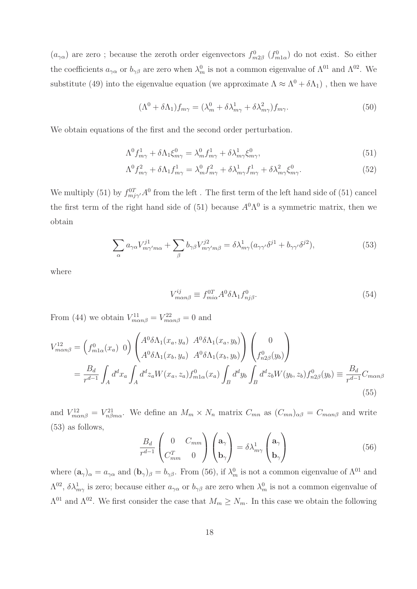$(a_{\gamma\alpha})$  are zero; because the zeroth order eigenvectors  $f_{m2\beta}^0$   $(f_{m1\alpha}^0)$  do not exist. So either the coefficients  $a_{\gamma\alpha}$  or  $b_{\gamma\beta}$  are zero when  $\lambda_m^0$  is not a common eigenvalue of  $\Lambda^{01}$  and  $\Lambda^{02}$ . We substitute (49) into the eigenvalue equation (we approximate  $\Lambda \approx \Lambda^0 + \delta \Lambda_1$ ), then we have

$$
(\Lambda^0 + \delta \Lambda_1) f_{m\gamma} = (\lambda_m^0 + \delta \lambda_{m\gamma}^1 + \delta \lambda_{m\gamma}^2) f_{m\gamma}.
$$
 (50)

We obtain equations of the first and the second order perturbation.

$$
\Lambda^0 f^1_{m\gamma} + \delta \Lambda_1 \xi^0_{m\gamma} = \lambda^0_m f^1_{m\gamma} + \delta \lambda^1_{m\gamma} \xi^0_{m\gamma},\tag{51}
$$

$$
\Lambda^0 f_{m\gamma}^2 + \delta \Lambda_1 f_{m\gamma}^1 = \lambda_m^0 f_{m\gamma}^2 + \delta \lambda_{m\gamma}^1 f_{m\gamma}^1 + \delta \lambda_{m\gamma}^2 \xi_{m\gamma}^0. \tag{52}
$$

We multiply (51) by  $f_{mj\gamma'}^{0T}A^0$  from the left. The first term of the left hand side of (51) cancel the first term of the right hand side of (51) because  $A^{0}\Lambda^{0}$  is a symmetric matrix, then we obtain

$$
\sum_{\alpha} a_{\gamma\alpha} V^{j1}_{m\gamma'm\alpha} + \sum_{\beta} b_{\gamma\beta} V^{j2}_{m\gamma'm\beta} = \delta \lambda^{1}_{m\gamma} (a_{\gamma\gamma'} \delta^{j1} + b_{\gamma\gamma'} \delta^{j2}), \tag{53}
$$

where

$$
V_{m\alpha n\beta}^{ij} \equiv f_{m i\alpha}^{0T} A^0 \delta \Lambda_1 f_{n j\beta}^0. \tag{54}
$$

From (44) we obtain  $V_{m\alpha n\beta}^{11} = V_{m\alpha n\beta}^{22} = 0$  and

$$
V_{man\beta}^{12} = \left(f_{m1\alpha}^{0}(x_a) \ 0\right) \begin{pmatrix} A^0 \delta \Lambda_1(x_a, y_a) & A^0 \delta \Lambda_1(x_a, y_b) \\ A^0 \delta \Lambda_1(x_b, y_a) & A^0 \delta \Lambda_1(x_b, y_b) \end{pmatrix} \begin{pmatrix} 0 \\ f_{n2\beta}^{0}(y_b) \end{pmatrix}
$$
  
=  $\frac{B_d}{r^{d-1}} \int_A d^d x_a \int_A d^d z_a W(x_a, z_a) f_{m1\alpha}^{0}(x_a) \int_B d^d y_b \int_B d^d z_b W(y_b, z_b) f_{n2\beta}^{0}(y_b) \equiv \frac{B_d}{r^{d-1}} C_{man\beta}$  (55)

and  $V_{m\alpha n\beta}^{12} = V_{n\beta m\alpha}^{21}$ . We define an  $M_m \times N_n$  matrix  $C_{mn}$  as  $(C_{mn})_{\alpha\beta} = C_{m\alpha n\beta}$  and write (53) as follows,

$$
\frac{B_d}{r^{d-1}} \begin{pmatrix} 0 & C_{mm} \\ C_{mm}^T & 0 \end{pmatrix} \begin{pmatrix} \mathbf{a}_{\gamma} \\ \mathbf{b}_{\gamma} \end{pmatrix} = \delta \lambda_{m\gamma}^1 \begin{pmatrix} \mathbf{a}_{\gamma} \\ \mathbf{b}_{\gamma} \end{pmatrix}
$$
(56)

where  $(a_{\gamma})_{\alpha} = a_{\gamma \alpha}$  and  $(b_{\gamma})_{\beta} = b_{\gamma \beta}$ . From (56), if  $\lambda_m^0$  is not a common eigenvalue of  $\Lambda^{01}$  and  $\Lambda^{02}$ ,  $\delta\lambda_{m\gamma}^1$  is zero; because either  $a_{\gamma\alpha}$  or  $b_{\gamma\beta}$  are zero when  $\lambda_m^0$  is not a common eigenvalue of  $Λ<sup>01</sup>$  and  $Λ<sup>02</sup>$ . We first consider the case that  $M<sub>m</sub> ≥ N<sub>m</sub>$ . In this case we obtain the following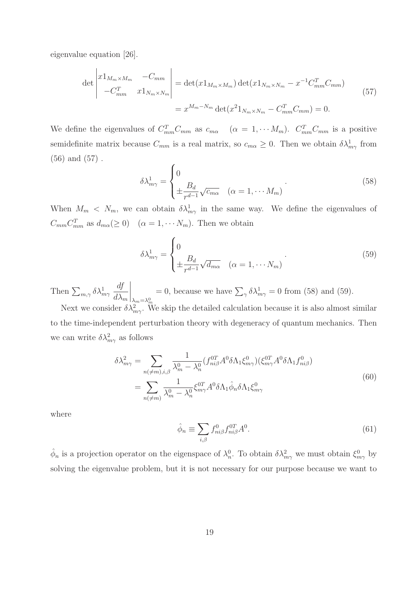eigenvalue equation [26].

$$
\det \begin{vmatrix} x1_{M_m \times M_m} & -C_{mm} \\ -C_{mm}^T & x1_{N_m \times N_m} \end{vmatrix} = \det(x1_{M_m \times M_m}) \det(x1_{N_m \times N_m} - x^{-1}C_{mm}^T C_{mm})
$$
\n
$$
= x^{M_m - N_m} \det(x^2 1_{N_m \times N_m} - C_{mm}^T C_{mm}) = 0.
$$
\n(57)

We define the eigenvalues of  $C_{mm}^T C_{mm}$  as  $c_{m\alpha}$   $(\alpha = 1, \cdots M_m)$ .  $C_{mm}^T C_{mm}$  is a positive semidefinite matrix because  $C_{mm}$  is a real matrix, so  $c_{m\alpha} \geq 0$ . Then we obtain  $\delta \lambda_{m\gamma}^1$  from (56) and (57) .

$$
\delta \lambda_{m\gamma}^1 = \begin{cases} 0 & (\text{58}) \\ \pm \frac{B_d}{r^{d-1}} \sqrt{c_{m\alpha}} & (\alpha = 1, \cdots M_m) \end{cases}
$$

When  $M_m < N_m$ , we can obtain  $\delta \lambda_{m\gamma}^1$  in the same way. We define the eigenvalues of  $C_{mm}C_{mm}^T$  as  $d_{m\alpha}(\geq 0)$   $(\alpha = 1, \cdots N_m)$ . Then we obtain

$$
\delta \lambda_{m\gamma}^1 = \begin{cases} 0 & \text{if } \lambda_{m\gamma}^1 = \sqrt{d_{m\alpha}} & (\alpha = 1, \cdots N_m) \\ \pm \frac{B_d}{r^{d-1}} \sqrt{d_{m\alpha}} & (\alpha = 1, \cdots N_m) \end{cases} \tag{59}
$$

Then  $\sum_{m,\gamma} \delta \lambda_{m\gamma}^1$ df  $d\lambda_m$  $\bigg|_{\lambda_m=\lambda_m^0}$ = 0, because we have  $\sum_{\gamma} \delta \lambda_{m\gamma}^1 = 0$  from (58) and (59).

Next we consider  $\delta \lambda_{m\gamma}^2$ . We skip the detailed calculation because it is also almost similar to the time-independent perturbation theory with degeneracy of quantum mechanics. Then we can write  $\delta \lambda_{m\gamma}^2$  as follows

$$
\delta\lambda_{m\gamma}^{2} = \sum_{n(\neq m),i,\beta} \frac{1}{\lambda_{m}^{0} - \lambda_{n}^{0}} (f_{ni\beta}^{0T} A^{0} \delta \Lambda_{1} \xi_{m\gamma}^{0}) (\xi_{m\gamma}^{0T} A^{0} \delta \Lambda_{1} f_{ni\beta}^{0})
$$
  

$$
= \sum_{n(\neq m)} \frac{1}{\lambda_{m}^{0} - \lambda_{n}^{0}} \xi_{m\gamma}^{0T} A^{0} \delta \Lambda_{1} \hat{\phi}_{n} \delta \Lambda_{1} \xi_{m\gamma}^{0}
$$
(60)

where

$$
\hat{\phi}_n \equiv \sum_{i,\beta} f_{ni\beta}^0 f_{ni\beta}^{0T} A^0. \tag{61}
$$

 $\hat{\phi}_n$  is a projection operator on the eigenspace of  $\lambda_n^0$ . To obtain  $\delta \lambda_{m\gamma}^2$  we must obtain  $\xi_{m\gamma}^0$  by solving the eigenvalue problem, but it is not necessary for our purpose because we want to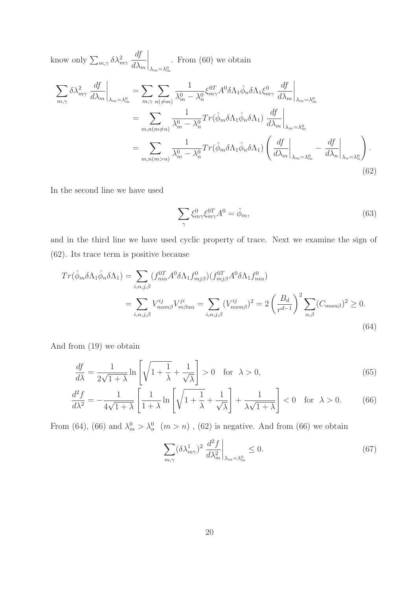know only 
$$
\sum_{m,\gamma} \delta \lambda_{m\gamma}^2 \frac{df}{d\lambda_m} \Big|_{\lambda_m = \lambda_m^0}
$$
. From (60) we obtain

\n
$$
\sum_{m,\gamma} \delta \lambda_{m\gamma}^2 \frac{df}{d\lambda_m} \Big|_{\lambda_m = \lambda_m^0} = \sum_{m,\gamma} \sum_{n(\neq m)} \frac{1}{\lambda_m^0 - \lambda_n^0} \xi_{m\gamma}^{0T} A^0 \delta \Lambda_1 \hat{\phi}_n \delta \Lambda_1 \xi_{m\gamma}^0 \frac{df}{d\lambda_m} \Big|_{\lambda_m = \lambda_m^0}
$$
\n
$$
= \sum_{m,n(m \neq n)} \frac{1}{\lambda_m^0 - \lambda_n^0} Tr(\hat{\phi}_m \delta \Lambda_1 \hat{\phi}_n \delta \Lambda_1) \frac{df}{d\lambda_m} \Big|_{\lambda_m = \lambda_m^0}
$$
\n
$$
= \sum_{m,n(m > n)} \frac{1}{\lambda_m^0 - \lambda_n^0} Tr(\hat{\phi}_m \delta \Lambda_1 \hat{\phi}_n \delta \Lambda_1) \left(\frac{df}{d\lambda_m} \Big|_{\lambda_m = \lambda_m^0} - \frac{df}{d\lambda_n} \Big|_{\lambda_n = \lambda_n^0}\right).
$$
\n(62)

In the second line we have used

$$
\sum_{\gamma} \xi_{m\gamma}^{0} \xi_{m\gamma}^{0} A^{0} = \hat{\phi}_{m}, \qquad (63)
$$

and in the third line we have used cyclic property of trace. Next we examine the sign of (62). Its trace term is positive because

$$
Tr(\hat{\phi}_m \delta \Lambda_1 \hat{\phi}_n \delta \Lambda_1) = \sum_{i,\alpha,j,\beta} (f_{ni\alpha}^{0T} A^0 \delta \Lambda_1 f_{mj\beta}^0)(f_{mj\beta}^{0T} A^0 \delta \Lambda_1 f_{ni\alpha}^0)
$$
  

$$
= \sum_{i,\alpha,j,\beta} V_{n\alpha m\beta}^{ij} V_{m\beta n\alpha}^{ji} = \sum_{i,\alpha,j,\beta} (V_{n\alpha m\beta}^{ij})^2 = 2 \left(\frac{B_d}{r^{d-1}}\right)^2 \sum_{\alpha,\beta} (C_{m\alpha n\beta})^2 \ge 0.
$$
 (64)

And from (19) we obtain

$$
\frac{df}{d\lambda} = \frac{1}{2\sqrt{1+\lambda}} \ln\left[\sqrt{1+\frac{1}{\lambda}} + \frac{1}{\sqrt{\lambda}}\right] > 0 \quad \text{for } \lambda > 0,
$$
\n(65)

$$
\frac{d^2f}{d\lambda^2} = -\frac{1}{4\sqrt{1+\lambda}} \left[ \frac{1}{1+\lambda} \ln \left[ \sqrt{1+\frac{1}{\lambda}} + \frac{1}{\sqrt{\lambda}} \right] + \frac{1}{\lambda\sqrt{1+\lambda}} \right] < 0 \quad \text{for } \lambda > 0. \tag{66}
$$

From (64), (66) and  $\lambda_m^0 > \lambda_n^0$  ( $m > n$ ), (62) is negative. And from (66) we obtain

$$
\sum_{m,\gamma} (\delta \lambda_{m\gamma}^1)^2 \left. \frac{d^2 f}{d \lambda_m^2} \right|_{\lambda_m = \lambda_m^0} \le 0. \tag{67}
$$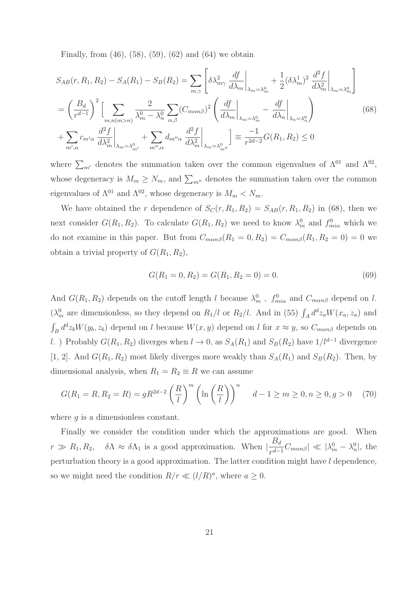Finally, from (46), (58), (59), (62) and (64) we obtain

$$
S_{AB}(r, R_1, R_2) - S_A(R_1) - S_B(R_2) = \sum_{m,\gamma} \left[ \delta \lambda_{m\gamma}^2 \frac{df}{d\lambda_m} \Big|_{\lambda_m = \lambda_m^0} + \frac{1}{2} (\delta \lambda_m^1)^2 \frac{d^2 f}{d\lambda_m^2} \Big|_{\lambda_m = \lambda_m^0} \right]
$$

$$
= \left( \frac{B_d}{r^{d-1}} \right)^2 \left[ \sum_{m,n(m>n)} \frac{2}{\lambda_m^0 - \lambda_n^0} \sum_{\alpha,\beta} (C_{m\alpha n\beta})^2 \left( \frac{df}{d\lambda_m} \Big|_{\lambda_m = \lambda_m^0} - \frac{df}{d\lambda_n} \Big|_{\lambda_n = \lambda_n^0} \right)
$$

$$
+ \sum_{m',\alpha} c_{m'\alpha} \frac{d^2 f}{d\lambda_m^2} \Big|_{\lambda_m = \lambda_{m'}^0} + \sum_{m'',\alpha} d_{m''\alpha} \frac{d^2 f}{d\lambda_m^2} \Big|_{\lambda_m = \lambda_{m''}^0} \right] \equiv \frac{-1}{r^{2d-2}} G(R_1, R_2) \le 0
$$
(68)

where  $\sum_{m'}$  denotes the summation taken over the common eigenvalues of  $\Lambda^{01}$  and  $\Lambda^{02}$ , whose degeneracy is  $M_m \ge N_m$ , and  $\sum_{m''}$  denotes the summation taken over the common eigenvalues of  $\Lambda^{01}$  and  $\Lambda^{02}$ , whose degeneracy is  $M_m < N_m$ .

We have obtained the r dependence of  $S_C(r, R_1, R_2) = S_{AB}(r, R_1, R_2)$  in (68), then we next consider  $G(R_1, R_2)$ . To calculate  $G(R_1, R_2)$  we need to know  $\lambda_m^0$  and  $f_{m i\alpha}^0$  which we do not examine in this paper. But from  $C_{m\alpha n\beta}(R_1 = 0, R_2) = C_{m\alpha n\beta}(R_1, R_2 = 0) = 0$  we obtain a trivial property of  $G(R_1, R_2)$ ,

$$
G(R_1 = 0, R_2) = G(R_1, R_2 = 0) = 0.
$$
\n<sup>(69)</sup>

And  $G(R_1, R_2)$  depends on the cutoff length l because  $\lambda_m^0$ ,  $f_{\text{min}}^0$  and  $C_{\text{man}\beta}$  depend on l. ( $\lambda_m^0$  are dimensionless, so they depend on  $R_1/l$  or  $R_2/l$ . And in (55)  $\int_A d^d z_a W(x_a, z_a)$  and  $\int_B d^d z_b W(y_b, z_b)$  depend on l because  $W(x, y)$  depend on l for  $x \approx y$ , so  $C_{m \alpha n \beta}$  depends on l. ) Probably  $G(R_1, R_2)$  diverges when  $l \to 0$ , as  $S_A(R_1)$  and  $S_B(R_2)$  have  $1/l^{d-1}$  divergence [1, 2]. And  $G(R_1, R_2)$  most likely diverges more weakly than  $S_A(R_1)$  and  $S_B(R_2)$ . Then, by dimensional analysis, when  $R_1 = R_2 \equiv R$  we can assume

$$
G(R_1 = R, R_2 = R) = gR^{2d-2} \left(\frac{R}{l}\right)^m \left(\ln\left(\frac{R}{l}\right)\right)^n \quad d-1 \ge m \ge 0, n \ge 0, g > 0 \quad (70)
$$

where  $q$  is a dimensionless constant.

Finally we consider the condition under which the approximations are good. When  $r \gg R_1, R_2, \quad \delta \Lambda \approx \delta \Lambda_1$  is a good approximation. When  $\left|\frac{B_d}{r^{d-1}}C_{m\alpha n\beta}\right| \ll |\lambda_m^0 - \lambda_n^0|$ , the perturbation theory is a good approximation. The latter condition might have l dependence, so we might need the condition  $R/r \ll (l/R)^a$ , where  $a \geq 0$ .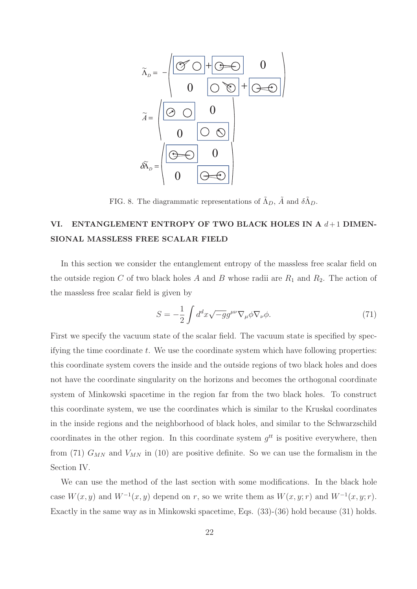

FIG. 8. The diagrammatic representations of  $\tilde{\Lambda}_D$ ,  $\tilde{A}$  and  $\delta \tilde{\Lambda}_D$ .

## VI. ENTANGLEMENT ENTROPY OF TWO BLACK HOLES IN A  $d+1$  DIMEN-SIONAL MASSLESS FREE SCALAR FIELD

In this section we consider the entanglement entropy of the massless free scalar field on the outside region C of two black holes A and B whose radii are  $R_1$  and  $R_2$ . The action of the massless free scalar field is given by

$$
S = -\frac{1}{2} \int d^d x \sqrt{-g} g^{\mu\nu} \nabla_{\mu} \phi \nabla_{\nu} \phi.
$$
 (71)

First we specify the vacuum state of the scalar field. The vacuum state is specified by specif  $y$  ing the time coordinate t. We use the coordinate system which have following properties: this coordinate system covers the inside and the outside regions of two black holes and does not have the coordinate singularity on the horizons and becomes the orthogonal coordinate system of Minkowski spacetime in the region far from the two black holes. To construct this coordinate system, we use the coordinates which is similar to the Kruskal coordinates in the inside regions and the neighborhood of black holes, and similar to the Schwarzschild coordinates in the other region. In this coordinate system  $g^{tt}$  is positive everywhere, then from (71)  $G_{MN}$  and  $V_{MN}$  in (10) are positive definite. So we can use the formalism in the Section IV.

We can use the method of the last section with some modifications. In the black hole case  $W(x, y)$  and  $W^{-1}(x, y)$  depend on r, so we write them as  $W(x, y; r)$  and  $W^{-1}(x, y; r)$ . Exactly in the same way as in Minkowski spacetime, Eqs. (33)-(36) hold because (31) holds.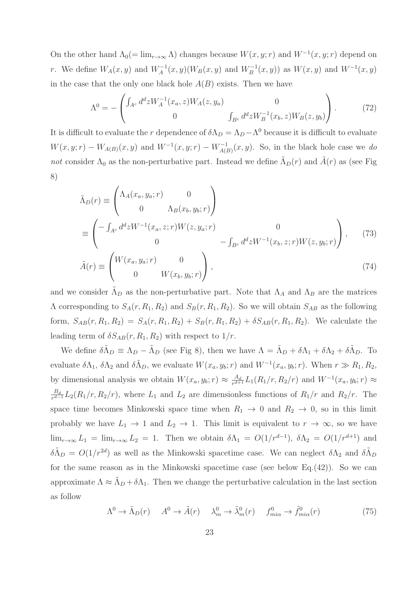On the other hand  $\Lambda_0(=\lim_{r\to\infty}\Lambda)$  changes because  $W(x, y; r)$  and  $W^{-1}(x, y; r)$  depend on r. We define  $W_A(x, y)$  and  $W_A^{-1}(x, y)(W_B(x, y))$  and  $W_B^{-1}(x, y)$  and  $W^{-1}(x, y)$ in the case that the only one black hole  $A(B)$  exists. Then we have

$$
\Lambda^{0} = -\begin{pmatrix} \int_{A^{c}} d^{d}z W_{A}^{-1}(x_{a}, z) W_{A}(z, y_{a}) & 0\\ 0 & \int_{B^{c}} d^{d}z W_{B}^{-1}(x_{b}, z) W_{B}(z, y_{b}) \end{pmatrix}.
$$
(72)

It is difficult to evaluate the r dependence of  $\delta \Lambda_D = \Lambda_D - \Lambda^0$  because it is difficult to evaluate  $W(x, y; r) - W_{A(B)}(x, y)$  and  $W^{-1}(x, y; r) - W_{A(B)}^{-1}(x, y)$ . So, in the black hole case we do not consider  $\Lambda_0$  as the non-perturbative part. Instead we define  $\Lambda_D(r)$  and  $A(r)$  as (see Fig. 8)

$$
\tilde{\Lambda}_D(r) \equiv \begin{pmatrix}\n\Lambda_A(x_a, y_a; r) & 0 \\
0 & \Lambda_B(x_b, y_b; r)\n\end{pmatrix}
$$
\n
$$
\equiv \begin{pmatrix}\n-\int_{A^c} d^d z W^{-1}(x_a, z; r) W(z, y_a; r) & 0 \\
0 & -\int_{B^c} d^d z W^{-1}(x_b, z; r) W(z, y_b; r)\n\end{pmatrix},
$$
\n(73)\n
$$
\tilde{A}(r) \equiv \begin{pmatrix}\nW(x_a, y_a; r) & 0 \\
0 & W(x_b, y_b; r)\n\end{pmatrix},
$$
\n(74)

and we consider  $\Lambda_D$  as the non-perturbative part. Note that  $\Lambda_A$  and  $\Lambda_B$  are the matrices  $\Lambda$  corresponding to  $S_A(r, R_1, R_2)$  and  $S_B(r, R_1, R_2)$ . So we will obtain  $S_{AB}$  as the following form,  $S_{AB}(r, R_1, R_2) = S_A(r, R_1, R_2) + S_B(r, R_1, R_2) + \delta S_{AB}(r, R_1, R_2)$ . We calculate the leading term of  $\delta S_{AB}(r, R_1, R_2)$  with respect to  $1/r$ .

We define  $\delta \tilde{\Lambda}_D \equiv \Lambda_D - \tilde{\Lambda}_D$  (see Fig 8), then we have  $\Lambda = \tilde{\Lambda}_D + \delta \Lambda_1 + \delta \Lambda_2 + \delta \tilde{\Lambda}_D$ . To evaluate  $\delta\Lambda_1$ ,  $\delta\Lambda_2$  and  $\delta\tilde{\Lambda}_D$ , we evaluate  $W(x_a, y_b; r)$  and  $W^{-1}(x_a, y_b; r)$ . When  $r \gg R_1, R_2$ , by dimensional analysis we obtain  $W(x_a, y_b; r) \approx \frac{A_d}{r^{d+1}} L_1(R_1/r, R_2/r)$  and  $W^{-1}(x_a, y_b; r) \approx$  $\frac{B_d}{r^{d-1}}L_2(R_1/r, R_2/r)$ , where  $L_1$  and  $L_2$  are dimensionless functions of  $R_1/r$  and  $R_2/r$ . The space time becomes Minkowski space time when  $R_1 \rightarrow 0$  and  $R_2 \rightarrow 0$ , so in this limit probably we have  $L_1 \to 1$  and  $L_2 \to 1$ . This limit is equivalent to  $r \to \infty$ , so we have  $\lim_{r\to\infty} L_1 = \lim_{r\to\infty} L_2 = 1$ . Then we obtain  $\delta\Lambda_1 = O(1/r^{d-1}), \ \delta\Lambda_2 = O(1/r^{d+1})$  and  $\delta \tilde{\Lambda}_D = O(1/r^{2d})$  as well as the Minkowski spacetime case. We can neglect  $\delta \Lambda_2$  and  $\delta \tilde{\Lambda}_D$ for the same reason as in the Minkowski spacetime case (see below Eq.(42)). So we can approximate  $\Lambda \approx \Lambda_D + \delta \Lambda_1$ . Then we change the perturbative calculation in the last section as follow

$$
\Lambda^{0} \to \tilde{\Lambda}_{D}(r) \qquad A^{0} \to \tilde{A}(r) \qquad \lambda_{m}^{0} \to \tilde{\lambda}_{m}^{0}(r) \qquad f_{m i \alpha}^{0} \to \tilde{f}_{m i \alpha}^{0}(r) \tag{75}
$$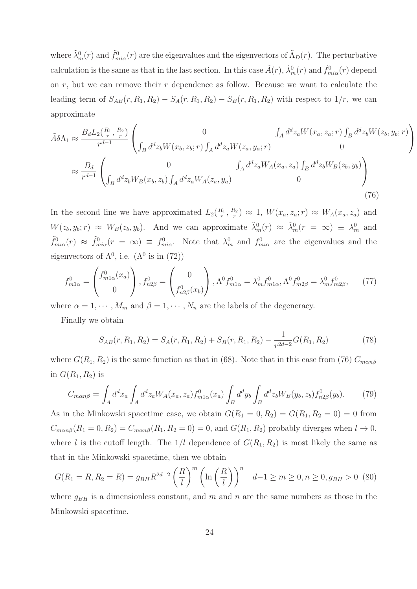where  $\tilde{\lambda}_m^0(r)$  and  $\tilde{f}_{mi\alpha}^0(r)$  are the eigenvalues and the eigenvectors of  $\tilde{\Lambda}_D(r)$ . The perturbative calculation is the same as that in the last section. In this case  $\tilde{A}(r)$ ,  $\tilde{\lambda}_m^0(r)$  and  $\tilde{f}_{mi\alpha}^0(r)$  depend on  $r$ , but we can remove their  $r$  dependence as follow. Because we want to calculate the leading term of  $S_{AB}(r, R_1, R_2) - S_A(r, R_1, R_2) - S_B(r, R_1, R_2)$  with respect to  $1/r$ , we can approximate

$$
\tilde{A}\delta\Lambda_{1} \approx \frac{B_{d}L_{2}(\frac{R_{1}}{r}, \frac{R_{2}}{r})}{r^{d-1}} \left( \begin{array}{c} 0 & \int_{A} d^{d}z_{a}W(x_{a}, z_{a}; r) \int_{B} d^{d}z_{b}W(z_{b}, y_{b}; r) \int_{B} d^{d}z_{b}W(z_{b}, y_{b}; r) \int_{B} d^{d}z_{b}W(z_{b}, y_{b}; r) \end{array} \right)
$$
\n
$$
\approx \frac{B_{d}}{r^{d-1}} \left( \begin{array}{c} 0 & \int_{A} d^{d}z_{a}W(x_{a}, z_{a}) \int_{B} d^{d}z_{b}W_{B}(z_{b}, y_{b}) \int_{B} d^{d}z_{b}W_{B}(z_{b}, y_{b}) \int_{B} d^{d}z_{b}W_{B}(x_{b}, z_{b}) \int_{A} d^{d}z_{a}W_{A}(z_{a}, y_{a}) \end{array} \right) \tag{76}
$$

In the second line we have approximated  $L_2(\frac{R_1}{r}, \frac{R_2}{r}) \approx 1$ ,  $W(x_a, z_a; r) \approx W_A(x_a, z_a)$  and  $W(z_b, y_b; r) \approx W_B(z_b, y_b)$ . And we can approximate  $\tilde{\lambda}_m^0(r) \approx \tilde{\lambda}_m^0(r = \infty) \equiv \lambda_m^0$  and  $\tilde{f}_{mi\alpha}^0(r) \approx \tilde{f}_{mi\alpha}^0(r = \infty) \equiv f_{mi\alpha}^0$ . Note that  $\lambda_m^0$  and  $f_{mi\alpha}^0$  are the eigenvalues and the eigenvectors of  $\Lambda^0$ , i.e.  $(\Lambda^0$  is in (72))

$$
f_{m1\alpha}^{0} = \begin{pmatrix} f_{m1\alpha}^{0}(x_a) \\ 0 \end{pmatrix}, f_{n2\beta}^{0} = \begin{pmatrix} 0 \\ f_{n2\beta}^{0}(x_b) \end{pmatrix}, \Lambda^{0} f_{m1\alpha}^{0} = \lambda_{m}^{0} f_{m1\alpha}^{0}, \Lambda^{0} f_{m2\beta}^{0} = \lambda_{m}^{0} f_{m2\beta}^{0}, \quad (77)
$$

where  $\alpha = 1, \dots, M_m$  and  $\beta = 1, \dots, N_n$  are the labels of the degeneracy.

Finally we obtain

$$
S_{AB}(r, R_1, R_2) = S_A(r, R_1, R_2) + S_B(r, R_1, R_2) - \frac{1}{r^{2d-2}}G(R_1, R_2)
$$
\n(78)

where  $G(R_1, R_2)$  is the same function as that in (68). Note that in this case from (76)  $C_{m\alpha n\beta}$ in  $G(R_1, R_2)$  is

$$
C_{man\beta} = \int_A d^d x_a \int_A d^d z_a W_A(x_a, z_a) f^0_{m1\alpha}(x_a) \int_B d^d y_b \int_B d^d z_b W_B(y_b, z_b) f^0_{n2\beta}(y_b). \tag{79}
$$

As in the Minkowski spacetime case, we obtain  $G(R_1 = 0, R_2) = G(R_1, R_2 = 0) = 0$  from  $C_{man\beta}(R_1 = 0, R_2) = C_{man\beta}(R_1, R_2 = 0) = 0$ , and  $G(R_1, R_2)$  probably diverges when  $l \to 0$ , where l is the cutoff length. The  $1/l$  dependence of  $G(R_1, R_2)$  is most likely the same as that in the Minkowski spacetime, then we obtain

$$
G(R_1 = R, R_2 = R) = g_{BH} R^{2d-2} \left(\frac{R}{l}\right)^m \left(\ln\left(\frac{R}{l}\right)\right)^n d - 1 \ge m \ge 0, n \ge 0, g_{BH} > 0
$$
 (80)

where  $g_{BH}$  is a dimensionless constant, and m and n are the same numbers as those in the Minkowski spacetime.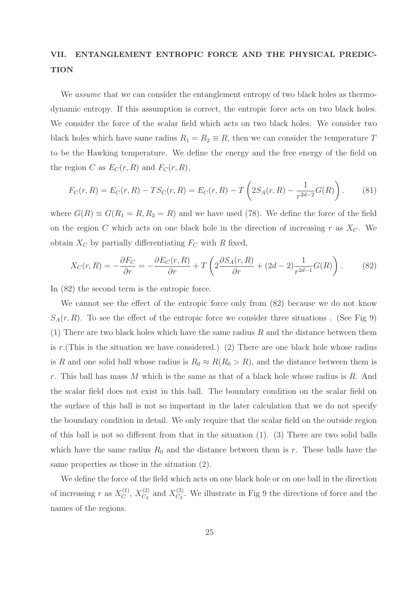### VII. ENTANGLEMENT ENTROPIC FORCE AND THE PHYSICAL PREDIC-**TION**

We *assume* that we can consider the entanglement entropy of two black holes as thermodynamic entropy. If this assumption is correct, the entropic force acts on two black holes. We consider the force of the scalar field which acts on two black holes. We consider two black holes which have same radius  $R_1 = R_2 \equiv R$ , then we can consider the temperature T to be the Hawking temperature. We define the energy and the free energy of the field on the region C as  $E_C(r, R)$  and  $F_C(r, R)$ ,

$$
F_C(r, R) = E_C(r, R) - TS_C(r, R) = E_C(r, R) - T\left(2S_A(r, R) - \frac{1}{r^{2d-2}}G(R)\right).
$$
 (81)

where  $G(R) \equiv G(R_1 = R, R_2 = R)$  and we have used (78). We define the force of the field on the region C which acts on one black hole in the direction of increasing r as  $X_C$ . We obtain  $X_C$  by partially differentiating  $F_C$  with R fixed,

$$
X_C(r,R) = -\frac{\partial F_C}{\partial r} = -\frac{\partial E_C(r,R)}{\partial r} + T\left(2\frac{\partial S_A(r,R)}{\partial r} + (2d-2)\frac{1}{r^{2d-1}}G(R)\right). \tag{82}
$$

In (82) the second term is the entropic force.

We cannot see the effect of the entropic force only from (82) because we do not know  $S_A(r, R)$ . To see the effect of the entropic force we consider three situations. (See Fig 9)  $(1)$  There are two black holes which have the same radius R and the distance between them is  $r$ .(This is the situation we have considered.) (2) There are one black hole whose radius is R and one solid ball whose radius is  $R_0 \approx R(R_0 > R)$ , and the distance between them is r. This ball has mass M which is the same as that of a black hole whose radius is R. And the scalar field does not exist in this ball. The boundary condition on the scalar field on the surface of this ball is not so important in the later calculation that we do not specify the boundary condition in detail. We only require that the scalar field on the outside region of this ball is not so different from that in the situation  $(1)$ .  $(3)$  There are two solid balls which have the same radius  $R_0$  and the distance between them is r. These balls have the same properties as those in the situation (2).

We define the force of the field which acts on one black hole or on one ball in the direction of increasing r as  $X_C^{(1)}$ ,  $X_{C_2}^{(2)}$  and  $X_{C_3}^{(3)}$ . We illustrate in Fig 9 the directions of force and the names of the regions.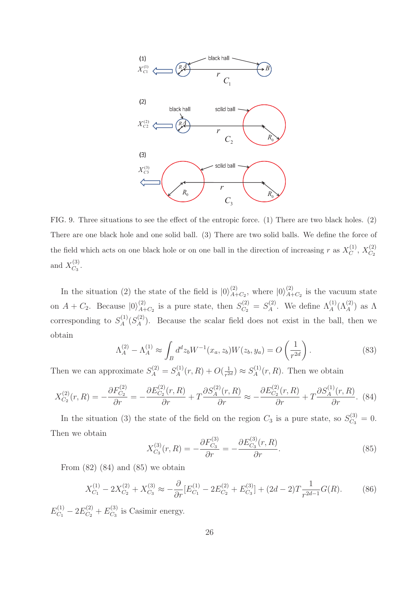

FIG. 9. Three situations to see the effect of the entropic force. (1) There are two black holes. (2) There are one black hole and one solid ball. (3) There are two solid balls. We define the force of the field which acts on one black hole or on one ball in the direction of increasing r as  $X_C^{(1)}$ ,  $X_{C_2}^{(2)}$ and  $X_{C_3}^{(3)}$ .

In the situation (2) the state of the field is  $|0\rangle_{A+C_2}^{(2)}$ , where  $|0\rangle_{A+C_2}^{(2)}$  is the vacuum state on  $A + C_2$ . Because  $|0\rangle_{A+C_2}^{(2)}$  is a pure state, then  $S_{C_2}^{(2)} = S_A^{(2)}$ . We define  $\Lambda_A^{(1)}(\Lambda_A^{(2)})$  as  $\Lambda$ corresponding to  $S_A^{(1)}(S_A^{(2)})$ . Because the scalar field does not exist in the ball, then we obtain

$$
\Lambda_A^{(2)} - \Lambda_A^{(1)} \approx \int_B d^d z_b W^{-1}(x_a, z_b) W(z_b, y_a) = O\left(\frac{1}{r^{2d}}\right).
$$
\n(83)

Then we can approximate  $S_A^{(2)} = S_A^{(1)}(r, R) + O(\frac{1}{r^{2d}}) \approx S_A^{(1)}(r, R)$ . Then we obtain

$$
X_{C_2}^{(2)}(r,R) = -\frac{\partial F_{C_2}^{(2)}}{\partial r} = -\frac{\partial E_{C_2}^{(2)}(r,R)}{\partial r} + T\frac{\partial S_A^{(2)}(r,R)}{\partial r} \approx -\frac{\partial E_{C_2}^{(2)}(r,R)}{\partial r} + T\frac{\partial S_A^{(1)}(r,R)}{\partial r}.
$$
 (84)

In the situation (3) the state of the field on the region  $C_3$  is a pure state, so  $S_{C_3}^{(3)} = 0$ . Then we obtain

$$
X_{C_3}^{(3)}(r,R) = -\frac{\partial F_{C_3}^{(3)}}{\partial r} = -\frac{\partial E_{C_3}^{(3)}(r,R)}{\partial r}.
$$
\n(85)

From  $(82)$   $(84)$  and  $(85)$  we obtain

$$
X_{C_1}^{(1)} - 2X_{C_2}^{(2)} + X_{C_3}^{(3)} \approx -\frac{\partial}{\partial r} [E_{C_1}^{(1)} - 2E_{C_2}^{(2)} + E_{C_3}^{(3)}] + (2d - 2)T \frac{1}{r^{2d - 1}} G(R). \tag{86}
$$

 $E_{C_1}^{(1)} - 2E_{C_2}^{(2)} + E_{C_3}^{(3)}$  is Casimir energy.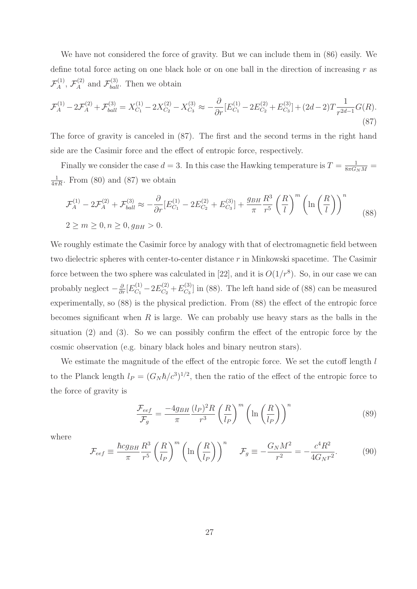We have not considered the force of gravity. But we can include them in (86) easily. We define total force acting on one black hole or on one ball in the direction of increasing  $r$  as  $\mathcal{F}_A^{(1)}$ ,  $\mathcal{F}_A^{(2)}$  and  $\mathcal{F}_{ball}^{(3)}$ . Then we obtain

$$
\mathcal{F}_A^{(1)} - 2\mathcal{F}_A^{(2)} + \mathcal{F}_{ball}^{(3)} = X_{C_1}^{(1)} - 2X_{C_2}^{(2)} - X_{C_3}^{(3)} \approx -\frac{\partial}{\partial r} [E_{C_1}^{(1)} - 2E_{C_2}^{(2)} + E_{C_3}^{(3)}] + (2d - 2)T \frac{1}{r^{2d - 1}} G(R). \tag{87}
$$

The force of gravity is canceled in (87). The first and the second terms in the right hand side are the Casimir force and the effect of entropic force, respectively.

Finally we consider the case  $d = 3$ . In this case the Hawking temperature is  $T = \frac{1}{8\pi G_N M}$  $\frac{1}{4\pi R}$ . From (80) and (87) we obtain

$$
\mathcal{F}_A^{(1)} - 2\mathcal{F}_A^{(2)} + \mathcal{F}_{ball}^{(3)} \approx -\frac{\partial}{\partial r} [E_{C_1}^{(1)} - 2E_{C_2}^{(2)} + E_{C_3}^{(3)}] + \frac{g_{BH}}{\pi} \frac{R^3}{r^5} \left(\frac{R}{l}\right)^m \left(\ln\left(\frac{R}{l}\right)\right)^n
$$
  
2 \ge m \ge 0, n \ge 0, g\_{BH} > 0. (88)

We roughly estimate the Casimir force by analogy with that of electromagnetic field between two dielectric spheres with center-to-center distance r in Minkowski spacetime. The Casimir force between the two sphere was calculated in [22], and it is  $O(1/r^8)$ . So, in our case we can probably neglect  $-\frac{\partial}{\partial r} [E_{C_1}^{(1)} - 2E_{C_2}^{(2)} + E_{C_3}^{(3)}]$  in (88). The left hand side of (88) can be measured experimentally, so (88) is the physical prediction. From (88) the effect of the entropic force becomes significant when  $R$  is large. We can probably use heavy stars as the balls in the situation (2) and (3). So we can possibly confirm the effect of the entropic force by the cosmic observation (e.g. binary black holes and binary neutron stars).

We estimate the magnitude of the effect of the entropic force. We set the cutoff length l to the Planck length  $l_P = (G_N \hbar/c^3)^{1/2}$ , then the ratio of the effect of the entropic force to the force of gravity is

$$
\frac{\mathcal{F}_{eef}}{\mathcal{F}_g} = \frac{-4g_{BH}}{\pi} \frac{(l_P)^2 R}{r^3} \left(\frac{R}{l_P}\right)^m \left(\ln\left(\frac{R}{l_P}\right)\right)^n \tag{89}
$$

where

$$
\mathcal{F}_{eef} \equiv \frac{\hbar c g_{BH}}{\pi} \frac{R^3}{r^5} \left(\frac{R}{l_P}\right)^m \left(\ln\left(\frac{R}{l_P}\right)\right)^n \quad \mathcal{F}_g \equiv -\frac{G_N M^2}{r^2} = -\frac{c^4 R^2}{4G_N r^2}.\tag{90}
$$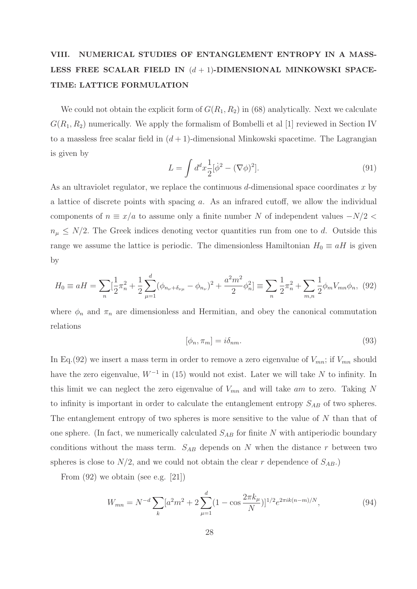# VIII. NUMERICAL STUDIES OF ENTANGLEMENT ENTROPY IN A MASS-LESS FREE SCALAR FIELD IN  $(d + 1)$ -DIMENSIONAL MINKOWSKI SPACE-TIME: LATTICE FORMULATION

We could not obtain the explicit form of  $G(R_1, R_2)$  in (68) analytically. Next we calculate  $G(R_1, R_2)$  numerically. We apply the formalism of Bombelli et al [1] reviewed in Section IV to a massless free scalar field in  $(d + 1)$ -dimensional Minkowski spacetime. The Lagrangian is given by

$$
L = \int d^d x \frac{1}{2} [\dot{\phi}^2 - (\nabla \phi)^2].
$$
 (91)

As an ultraviolet regulator, we replace the continuous  $d$ -dimensional space coordinates x by a lattice of discrete points with spacing a. As an infrared cutoff, we allow the individual components of  $n \equiv x/a$  to assume only a finite number N of independent values  $-N/2$  $n_{\mu} \leq N/2$ . The Greek indices denoting vector quantities run from one to d. Outside this range we assume the lattice is periodic. The dimensionless Hamiltonian  $H_0 \equiv aH$  is given by

$$
H_0 \equiv aH = \sum_n \left[\frac{1}{2}\pi_n^2 + \frac{1}{2}\sum_{\mu=1}^d (\phi_{n_\nu + \delta_{\nu\mu}} - \phi_{n_\nu})^2 + \frac{a^2 m^2}{2}\phi_n^2\right] \equiv \sum_n \frac{1}{2}\pi_n^2 + \sum_{m,n} \frac{1}{2}\phi_m V_{mn}\phi_n, \tag{92}
$$

where  $\phi_n$  and  $\pi_n$  are dimensionless and Hermitian, and obey the canonical commutation relations

$$
[\phi_n, \pi_m] = i\delta_{nm}.\tag{93}
$$

In Eq.(92) we insert a mass term in order to remove a zero eigenvalue of  $V_{mn}$ ; if  $V_{mn}$  should have the zero eigenvalue,  $W^{-1}$  in (15) would not exist. Later we will take N to infinity. In this limit we can neglect the zero eigenvalue of  $V_{mn}$  and will take am to zero. Taking N to infinity is important in order to calculate the entanglement entropy  $S_{AB}$  of two spheres. The entanglement entropy of two spheres is more sensitive to the value of N than that of one sphere. (In fact, we numerically calculated  $S_{AB}$  for finite N with antiperiodic boundary conditions without the mass term.  $S_{AB}$  depends on N when the distance r between two spheres is close to  $N/2$ , and we could not obtain the clear r dependence of  $S_{AB}$ .

From (92) we obtain (see e.g. [21])

$$
W_{mn} = N^{-d} \sum_{k} [a^2 m^2 + 2 \sum_{\mu=1}^{d} (1 - \cos \frac{2\pi k_{\mu}}{N})]^{1/2} e^{2\pi i k (n-m)/N}, \tag{94}
$$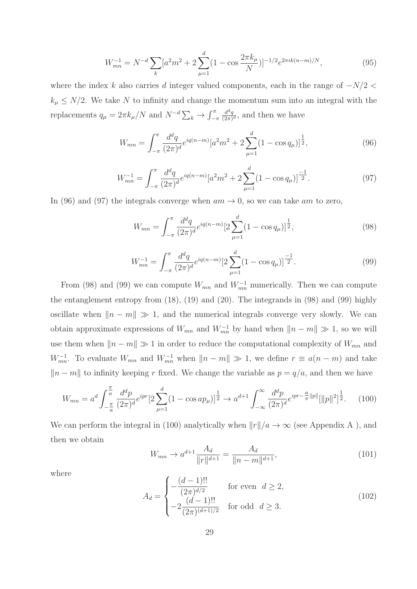$$
W_{mn}^{-1} = N^{-d} \sum_{k} [a^2 m^2 + 2 \sum_{\mu=1}^{d} (1 - \cos \frac{2\pi k_{\mu}}{N})]^{-1/2} e^{2\pi i k (n-m)/N}, \qquad (95)
$$

where the index k also carries d integer valued components, each in the range of  $-N/2$  <  $k_{\mu} \leq N/2$ . We take N to infinity and change the momentum sum into an integral with the replacements  $q_{\mu} = 2\pi k_{\mu}/N$  and  $N^{-d} \sum_{k} \rightarrow \int_{-\pi}^{\pi}$  $\frac{d^dq}{(2\pi)^d}$ , and then we have

$$
W_{mn} = \int_{-\pi}^{\pi} \frac{d^d q}{(2\pi)^d} e^{iq(n-m)} \left[a^2 m^2 + 2\sum_{\mu=1}^d (1 - \cos q_\mu)\right]^{\frac{1}{2}},\tag{96}
$$

$$
W_{mn}^{-1} = \int_{-\pi}^{\pi} \frac{d^d q}{(2\pi)^d} e^{iq(n-m)} [a^2 m^2 + 2 \sum_{\mu=1}^d (1 - \cos q_\mu)]^{\frac{-1}{2}}.
$$
 (97)

In (96) and (97) the integrals converge when  $am \to 0$ , so we can take am to zero,

$$
W_{mn} = \int_{-\pi}^{\pi} \frac{d^d q}{(2\pi)^d} e^{iq(n-m)} \left[ 2 \sum_{\mu=1}^d (1 - \cos q_\mu) \right]^{\frac{1}{2}},\tag{98}
$$

$$
W_{mn}^{-1} = \int_{-\pi}^{\pi} \frac{d^d q}{(2\pi)^d} e^{iq(n-m)} \left[ 2 \sum_{\mu=1}^d (1 - \cos q_\mu) \right]^{-1} . \tag{99}
$$

From (98) and (99) we can compute  $W_{mn}$  and  $W_{mn}^{-1}$  numerically. Then we can compute the entanglement entropy from (18), (19) and (20). The integrands in (98) and (99) highly oscillate when  $\|n - m\| \gg 1$ , and the numerical integrals converge very slowly. We can obtain approximate expressions of  $W_{mn}$  and  $W_{mn}^{-1}$  by hand when  $||n - m|| \gg 1$ , so we will use them when  $||n - m|| \gg 1$  in order to reduce the computational complexity of  $W_{mn}$  and  $W_{mn}^{-1}$ . To evaluate  $W_{mn}$  and  $W_{mn}^{-1}$  when  $||n - m|| \gg 1$ , we define  $r \equiv a(n - m)$  and take  $||n - m||$  to infinity keeping r fixed. We change the variable as  $p = q/a$ , and then we have

$$
W_{mn} = a^d \int_{-\frac{\pi}{a}}^{\frac{\pi}{a}} \frac{d^d p}{(2\pi)^d} e^{ipr} \left[ 2 \sum_{\mu=1}^d (1 - \cos a p_\mu) \right]^{\frac{1}{2}} \to a^{d+1} \int_{-\infty}^{\infty} \frac{d^d p}{(2\pi)^d} e^{ipr - \frac{a}{\pi} ||p||} [||p||^2]^{\frac{1}{2}}.
$$
 (100)

We can perform the integral in (100) analytically when  $||r||/a \rightarrow \infty$  (see Appendix A ), and then we obtain

$$
W_{mn} \to a^{d+1} \frac{A_d}{\|r\|^{d+1}} = \frac{A_d}{\|n-m\|^{d+1}},\tag{101}
$$

where

$$
A_d = \begin{cases} -\frac{(d-1)!!}{(2\pi)^{d/2}} & \text{for even } d \ge 2, \\ -2\frac{(d-1)!!}{(2\pi)^{(d+1)/2}} & \text{for odd } d \ge 3. \end{cases}
$$
(102)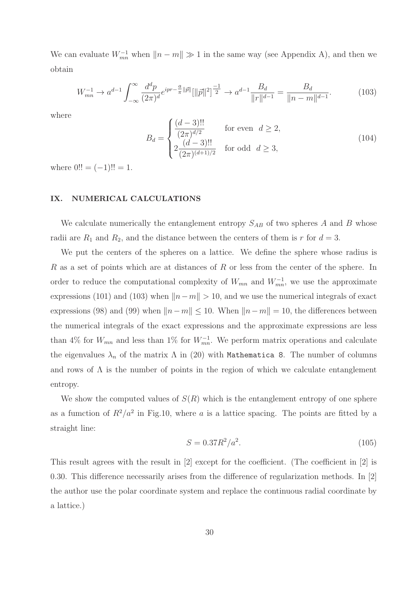We can evaluate  $W_{mn}^{-1}$  when  $||n-m|| \gg 1$  in the same way (see Appendix A), and then we obtain

$$
W_{mn}^{-1} \to a^{d-1} \int_{-\infty}^{\infty} \frac{d^d p}{(2\pi)^d} e^{ipr - \frac{a}{\pi} ||\vec{p}||} [||\vec{p}||^2]^{\frac{-1}{2}} \to a^{d-1} \frac{B_d}{||r||^{d-1}} = \frac{B_d}{||n-m||^{d-1}}.
$$
 (103)

where

$$
B_d = \begin{cases} \frac{(d-3)!!}{(2\pi)^{d/2}} & \text{for even } d \ge 2, \\ 2\frac{(d-3)!!}{(2\pi)^{(d+1)/2}} & \text{for odd } d \ge 3, \end{cases}
$$
(104)

where  $0!! = (-1)!! = 1.$ 

#### IX. NUMERICAL CALCULATIONS

We calculate numerically the entanglement entropy  $S_{AB}$  of two spheres A and B whose radii are  $R_1$  and  $R_2$ , and the distance between the centers of them is r for  $d = 3$ .

We put the centers of the spheres on a lattice. We define the sphere whose radius is R as a set of points which are at distances of R or less from the center of the sphere. In order to reduce the computational complexity of  $W_{mn}$  and  $W_{mn}^{-1}$ , we use the approximate expressions (101) and (103) when  $||n-m|| > 10$ , and we use the numerical integrals of exact expressions (98) and (99) when  $||n-m|| \le 10$ . When  $||n-m|| = 10$ , the differences between the numerical integrals of the exact expressions and the approximate expressions are less than 4% for  $W_{mn}$  and less than 1% for  $W_{mn}^{-1}$ . We perform matrix operations and calculate the eigenvalues  $\lambda_n$  of the matrix  $\Lambda$  in (20) with Mathematica 8. The number of columns and rows of  $\Lambda$  is the number of points in the region of which we calculate entanglement entropy.

We show the computed values of  $S(R)$  which is the entanglement entropy of one sphere as a fumction of  $R^2/a^2$  in Fig.10, where a is a lattice spacing. The points are fitted by a straight line:

$$
S = 0.37R^2/a^2.
$$
 (105)

This result agrees with the result in [2] except for the coefficient. (The coefficient in [2] is 0.30. This difference necessarily arises from the difference of regularization methods. In [2] the author use the polar coordinate system and replace the continuous radial coordinate by a lattice.)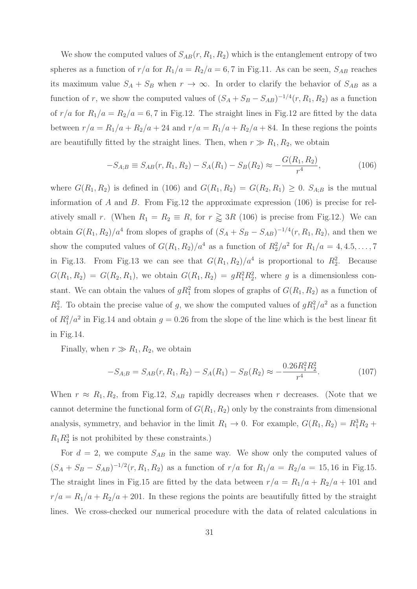We show the computed values of  $S_{AB}(r, R_1, R_2)$  which is the entanglement entropy of two spheres as a function of  $r/a$  for  $R_1/a = R_2/a = 6, 7$  in Fig.11. As can be seen,  $S_{AB}$  reaches its maximum value  $S_A + S_B$  when  $r \to \infty$ . In order to clarify the behavior of  $S_{AB}$  as a function of r, we show the computed values of  $(S_A + S_B - S_{AB})^{-1/4}(r, R_1, R_2)$  as a function of  $r/a$  for  $R_1/a = R_2/a = 6.7$  in Fig.12. The straight lines in Fig.12 are fitted by the data between  $r/a = R_1/a + R_2/a + 24$  and  $r/a = R_1/a + R_2/a + 84$ . In these regions the points are beautifully fitted by the straight lines. Then, when  $r \gg R_1, R_2$ , we obtain

$$
-S_{A;B} \equiv S_{AB}(r, R_1, R_2) - S_A(R_1) - S_B(R_2) \approx -\frac{G(R_1, R_2)}{r^4},\tag{106}
$$

where  $G(R_1, R_2)$  is defined in (106) and  $G(R_1, R_2) = G(R_2, R_1) \geq 0$ .  $S_{A,B}$  is the mutual information of A and B. From Fig.12 the approximate expression  $(106)$  is precise for relatively small r. (When  $R_1 = R_2 \equiv R$ , for  $r \gtrsim 3R$  (106) is precise from Fig.12.) We can obtain  $G(R_1, R_2)/a^4$  from slopes of graphs of  $(S_A + S_B - S_{AB})^{-1/4}(r, R_1, R_2)$ , and then we show the computed values of  $G(R_1, R_2)/a^4$  as a function of  $R_2^2/a^2$  for  $R_1/a = 4, 4.5, \ldots, 7$ in Fig.13. From Fig.13 we can see that  $G(R_1, R_2)/a^4$  is proportional to  $R_2^2$ . Because  $G(R_1, R_2) = G(R_2, R_1)$ , we obtain  $G(R_1, R_2) = gR_1^2R_2^2$ , where g is a dimensionless constant. We can obtain the values of  $gR_1^2$  from slopes of graphs of  $G(R_1, R_2)$  as a function of  $R_2^2$ . To obtain the precise value of g, we show the computed values of  $gR_1^2/a^2$  as a function of  $R_1^2/a^2$  in Fig.14 and obtain  $g = 0.26$  from the slope of the line which is the best linear fit in Fig.14.

Finally, when  $r \gg R_1, R_2$ , we obtain

$$
-S_{A;B} = S_{AB}(r, R_1, R_2) - S_A(R_1) - S_B(R_2) \approx -\frac{0.26R_1^2R_2^2}{r^4}.
$$
 (107)

When  $r \approx R_1, R_2$ , from Fig.12,  $S_{AB}$  rapidly decreases when r decreases. (Note that we cannot determine the functional form of  $G(R_1, R_2)$  only by the constraints from dimensional analysis, symmetry, and behavior in the limit  $R_1 \rightarrow 0$ . For example,  $G(R_1, R_2) = R_1^3 R_2 +$  $R_1R_2^3$  is not prohibited by these constraints.)

For  $d = 2$ , we compute  $S_{AB}$  in the same way. We show only the computed values of  $(S_A + S_B - S_{AB})^{-1/2}(r, R_1, R_2)$  as a function of  $r/a$  for  $R_1/a = R_2/a = 15, 16$  in Fig.15. The straight lines in Fig.15 are fitted by the data between  $r/a = R_1/a + R_2/a + 101$  and  $r/a = R_1/a + R_2/a + 201$ . In these regions the points are beautifully fitted by the straight lines. We cross-checked our numerical procedure with the data of related calculations in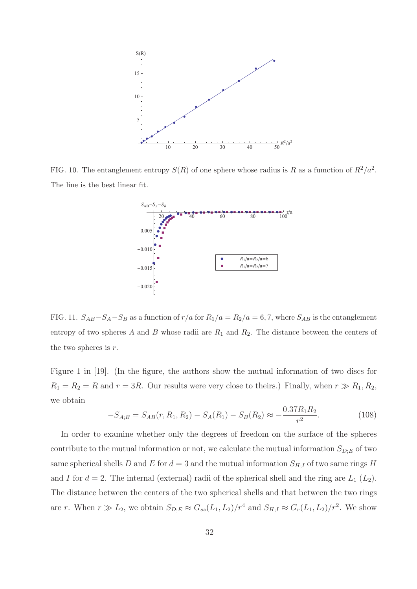

FIG. 10. The entanglement entropy  $S(R)$  of one sphere whose radius is R as a fumction of  $R^2/a^2$ . The line is the best linear fit.



FIG. 11.  $S_{AB}-S_A-S_B$  as a function of  $r/a$  for  $R_1/a = R_2/a = 6, 7$ , where  $S_{AB}$  is the entanglement entropy of two spheres A and B whose radii are  $R_1$  and  $R_2$ . The distance between the centers of the two spheres is  $r$ .

Figure 1 in [19]. (In the figure, the authors show the mutual information of two discs for  $R_1 = R_2 = R$  and  $r = 3R$ . Our results were very close to theirs.) Finally, when  $r \gg R_1, R_2$ , we obtain

$$
-S_{A;B} = S_{AB}(r, R_1, R_2) - S_A(R_1) - S_B(R_2) \approx -\frac{0.37R_1R_2}{r^2}.
$$
 (108)

In order to examine whether only the degrees of freedom on the surface of the spheres contribute to the mutual information or not, we calculate the mutual information  $S_{D,E}$  of two same spherical shells D and E for  $d = 3$  and the mutual information  $S_{H;I}$  of two same rings H and I for  $d = 2$ . The internal (external) radii of the spherical shell and the ring are  $L_1(L_2)$ . The distance between the centers of the two spherical shells and that between the two rings are r. When  $r \gg L_2$ , we obtain  $S_{D;E} \approx G_{ss}(L_1, L_2)/r^4$  and  $S_{H;I} \approx G_r(L_1, L_2)/r^2$ . We show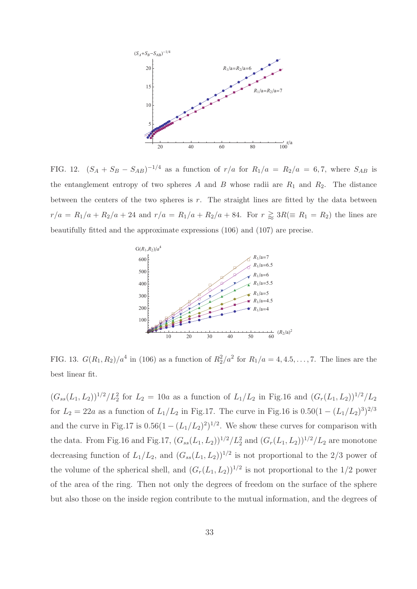

FIG. 12.  $(S_A + S_B - S_{AB})^{-1/4}$  as a function of  $r/a$  for  $R_1/a = R_2/a = 6, 7$ , where  $S_{AB}$  is the entanglement entropy of two spheres A and B whose radii are  $R_1$  and  $R_2$ . The distance between the centers of the two spheres is  $r$ . The straight lines are fitted by the data between  $r/a = R_1/a + R_2/a + 24$  and  $r/a = R_1/a + R_2/a + 84$ . For  $r \ge 3R (\equiv R_1 = R_2)$  the lines are beautifully fitted and the approximate expressions (106) and (107) are precise.



FIG. 13.  $G(R_1, R_2)/a^4$  in (106) as a function of  $R_2^2/a^2$  for  $R_1/a = 4, 4.5, ..., 7$ . The lines are the best linear fit.

 $(G_{ss}(L_1, L_2))^{1/2}/L_2^2$  for  $L_2 = 10a$  as a function of  $L_1/L_2$  in Fig.16 and  $(G_r(L_1, L_2))^{1/2}/L_2$ for  $L_2 = 22a$  as a function of  $L_1/L_2$  in Fig.17. The curve in Fig.16 is  $0.50(1 - (L_1/L_2)^3)^{2/3}$ and the curve in Fig.17 is  $0.56(1 - (L_1/L_2)^2)^{1/2}$ . We show these curves for comparison with the data. From Fig.16 and Fig.17,  $(G_{ss}(L_1, L_2))^{1/2}/L_2^2$  and  $(G_r(L_1, L_2))^{1/2}/L_2$  are monotone decreasing function of  $L_1/L_2$ , and  $(G_{ss}(L_1, L_2))^{1/2}$  is not proportional to the 2/3 power of the volume of the spherical shell, and  $(G_r(L_1, L_2))^{1/2}$  is not proportional to the 1/2 power of the area of the ring. Then not only the degrees of freedom on the surface of the sphere but also those on the inside region contribute to the mutual information, and the degrees of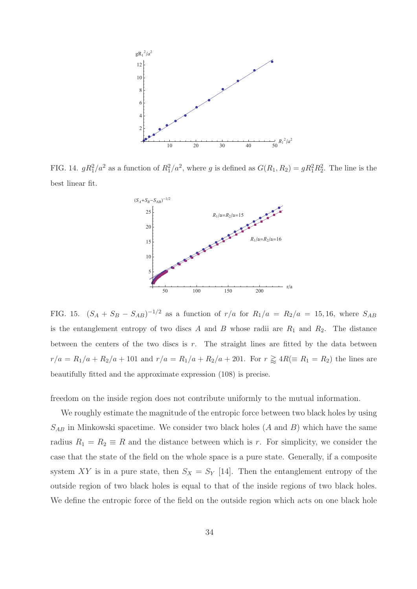

FIG. 14.  $gR_1^2/a^2$  as a function of  $R_1^2/a^2$ , where g is defined as  $G(R_1, R_2) = gR_1^2R_2^2$ . The line is the best linear fit.



FIG. 15.  $(S_A + S_B - S_{AB})^{-1/2}$  as a function of  $r/a$  for  $R_1/a = R_2/a = 15, 16$ , where  $S_{AB}$ is the entanglement entropy of two discs A and B whose radii are  $R_1$  and  $R_2$ . The distance between the centers of the two discs is  $r$ . The straight lines are fitted by the data between  $r/a = R_1/a + R_2/a + 101$  and  $r/a = R_1/a + R_2/a + 201$ . For  $r \ge 4R (\equiv R_1 = R_2)$  the lines are beautifully fitted and the approximate expression (108) is precise.

freedom on the inside region does not contribute uniformly to the mutual information.

We roughly estimate the magnitude of the entropic force between two black holes by using  $S_{AB}$  in Minkowski spacetime. We consider two black holes  $(A \text{ and } B)$  which have the same radius  $R_1 = R_2 \equiv R$  and the distance between which is r. For simplicity, we consider the case that the state of the field on the whole space is a pure state. Generally, if a composite system XY is in a pure state, then  $S_X = S_Y$  [14]. Then the entanglement entropy of the outside region of two black holes is equal to that of the inside regions of two black holes. We define the entropic force of the field on the outside region which acts on one black hole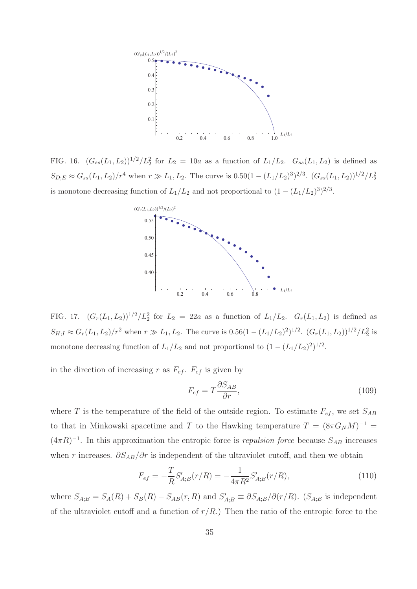

FIG. 16.  $(G_{ss}(L_1, L_2))^{1/2}/L_2^2$  for  $L_2 = 10a$  as a function of  $L_1/L_2$ .  $G_{ss}(L_1, L_2)$  is defined as  $S_{D;E} \approx G_{ss}(L_1, L_2)/r^4$  when  $r \gg L_1, L_2$ . The curve is  $0.50(1 - (L_1/L_2)^3)^{2/3}$ .  $(G_{ss}(L_1, L_2))^{1/2}/L_2^2$ is monotone decreasing function of  $L_1/L_2$  and not proportional to  $(1 - (L_1/L_2)^3)^{2/3}$ .



FIG. 17.  $(G_r(L_1, L_2))^{1/2}/L_2^2$  for  $L_2 = 22a$  as a function of  $L_1/L_2$ .  $G_r(L_1, L_2)$  is defined as  $S_{H,I} \approx G_r(L_1, L_2)/r^2$  when  $r \gg L_1, L_2$ . The curve is  $0.56(1 - (L_1/L_2)^2)^{1/2}$ .  $(G_r(L_1, L_2))^{1/2}/L_2^2$  is monotone decreasing function of  $L_1/L_2$  and not proportional to  $(1 - (L_1/L_2)^2)^{1/2}$ .

in the direction of increasing r as  $F_{ef}$ .  $F_{ef}$  is given by

$$
F_{ef} = T \frac{\partial S_{AB}}{\partial r},\tag{109}
$$

where T is the temperature of the field of the outside region. To estimate  $F_{ef}$ , we set  $S_{AB}$ to that in Minkowski spacetime and T to the Hawking temperature  $T = (8\pi G_N M)^{-1}$  $(4\pi R)^{-1}$ . In this approximation the entropic force is *repulsion force* because  $S_{AB}$  increases when r increases.  $\partial S_{AB}/\partial r$  is independent of the ultraviolet cutoff, and then we obtain

$$
F_{ef} = -\frac{T}{R} S'_{A;B}(r/R) = -\frac{1}{4\pi R^2} S'_{A;B}(r/R),\tag{110}
$$

where  $S_{A;B} = S_A(R) + S_B(R) - S_{AB}(r,R)$  and  $S'_{A;B} \equiv \partial S_{A;B}/\partial(r/R)$ .  $(S_{A;B}$  is independent of the ultraviolet cutoff and a function of  $r/R$ .) Then the ratio of the entropic force to the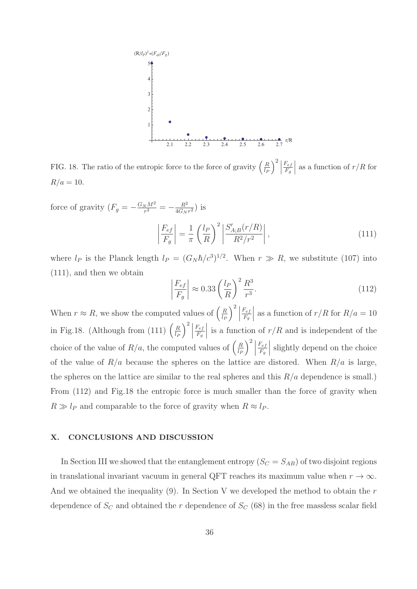

FIG. 18. The ratio of the entropic force to the force of gravity  $\left(\frac{R}{l_F}\right)$  $\Big)^2 \Big|$  $F_{ef}$  $F_g$ | as a function of  $r/R$  for  $R/a = 10$ .

force of gravity  $(F_g = -\frac{G_N M^2}{r^2} = -\frac{R^2}{4G_N r^2})$  is

$$
\left|\frac{F_{ef}}{F_g}\right| = \frac{1}{\pi} \left(\frac{l_P}{R}\right)^2 \left|\frac{S'_{A;B}(r/R)}{R^2/r^2}\right|,\tag{111}
$$

where  $l_P$  is the Planck length  $l_P = (G_N \hbar/c^3)^{1/2}$ . When  $r \gg R$ , we substitute (107) into (111), and then we obtain

$$
\left|\frac{F_{ef}}{F_g}\right| \approx 0.33 \left(\frac{l_P}{R}\right)^2 \frac{R^3}{r^3}.\tag{112}
$$

When  $r \approx R$ , we show the computed values of  $\left(\frac{R}{l_F}\right)$  $\Big)^2 \, \Big|$  $F_{ef}$  $F_g$ | as a function of  $r/R$  for  $R/a = 10$ in Fig.18. (Although from (111)  $\left(\frac{R}{l_P}\right)$  $\Big)^2 \Big\}$  $F_{ef}$  $F_g$ is a function of  $r/R$  and is independent of the choice of the value of  $R/a$ , the computed values of  $\left(\frac{R}{l_P}\right)$  $\Big)^2 \, \Big|$  $F_{ef}$  $F_g$  $\Big\vert$  slightly depend on the choice of the value of  $R/a$  because the spheres on the lattice are distored. When  $R/a$  is large, the spheres on the lattice are similar to the real spheres and this  $R/a$  dependence is small.) From (112) and Fig.18 the entropic force is much smaller than the force of gravity when  $R \gg l_P$  and comparable to the force of gravity when  $R \approx l_P$ .

#### X. CONCLUSIONS AND DISCUSSION

In Section III we showed that the entanglement entropy  $(S_C = S_{AB})$  of two disjoint regions in translational invariant vacuum in general QFT reaches its maximum value when  $r \to \infty$ . And we obtained the inequality  $(9)$ . In Section V we developed the method to obtain the r dependence of  $S_C$  and obtained the r dependence of  $S_C$  (68) in the free massless scalar field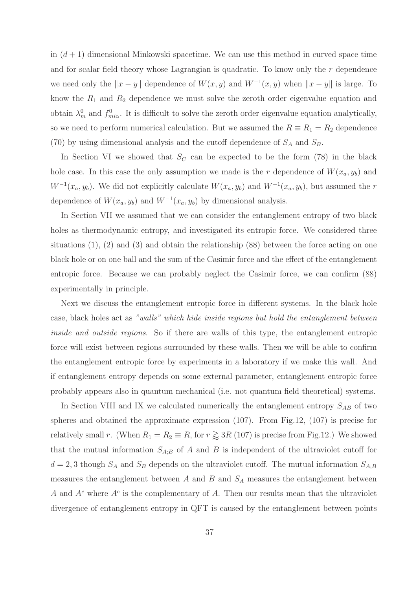in  $(d+1)$  dimensional Minkowski spacetime. We can use this method in curved space time and for scalar field theory whose Lagrangian is quadratic. To know only the r dependence we need only the  $||x - y||$  dependence of  $W(x, y)$  and  $W^{-1}(x, y)$  when  $||x - y||$  is large. To know the  $R_1$  and  $R_2$  dependence we must solve the zeroth order eigenvalue equation and obtain  $\lambda_m^0$  and  $f_{mi\alpha}^0$ . It is difficult to solve the zeroth order eigenvalue equation analytically, so we need to perform numerical calculation. But we assumed the  $R \equiv R_1 = R_2$  dependence (70) by using dimensional analysis and the cutoff dependence of  $S_A$  and  $S_B$ .

In Section VI we showed that  $S_C$  can be expected to be the form (78) in the black hole case. In this case the only assumption we made is the r dependence of  $W(x_a, y_b)$  and  $W^{-1}(x_a, y_b)$ . We did not explicitly calculate  $W(x_a, y_b)$  and  $W^{-1}(x_a, y_b)$ , but assumed the r dependence of  $W(x_a, y_b)$  and  $W^{-1}(x_a, y_b)$  by dimensional analysis.

In Section VII we assumed that we can consider the entanglement entropy of two black holes as thermodynamic entropy, and investigated its entropic force. We considered three situations  $(1), (2)$  and  $(3)$  and obtain the relationship  $(88)$  between the force acting on one black hole or on one ball and the sum of the Casimir force and the effect of the entanglement entropic force. Because we can probably neglect the Casimir force, we can confirm (88) experimentally in principle.

Next we discuss the entanglement entropic force in different systems. In the black hole case, black holes act as "walls" which hide inside regions but hold the entanglement between inside and outside regions. So if there are walls of this type, the entanglement entropic force will exist between regions surrounded by these walls. Then we will be able to confirm the entanglement entropic force by experiments in a laboratory if we make this wall. And if entanglement entropy depends on some external parameter, entanglement entropic force probably appears also in quantum mechanical (i.e. not quantum field theoretical) systems.

In Section VIII and IX we calculated numerically the entanglement entropy  $S_{AB}$  of two spheres and obtained the approximate expression (107). From Fig.12, (107) is precise for relatively small r. (When  $R_1 = R_2 \equiv R$ , for  $r \gtrsim 3R$  (107) is precise from Fig.12.) We showed that the mutual information  $S_{A;B}$  of A and B is independent of the ultraviolet cutoff for  $d = 2, 3$  though  $S_A$  and  $S_B$  depends on the ultraviolet cutoff. The mutual information  $S_{A;B}$ measures the entanglement between  $A$  and  $B$  and  $S_A$  measures the entanglement between A and  $A<sup>c</sup>$  where  $A<sup>c</sup>$  is the complementary of A. Then our results mean that the ultraviolet divergence of entanglement entropy in QFT is caused by the entanglement between points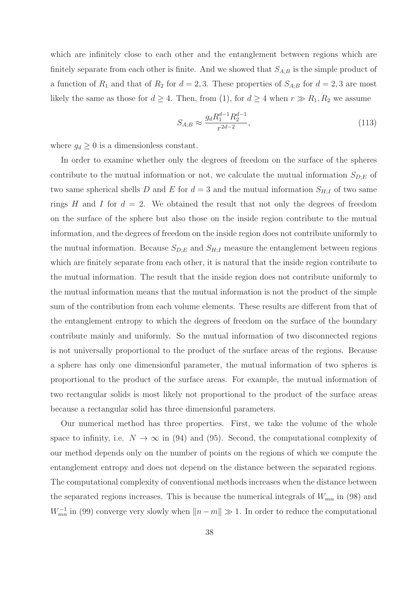which are infinitely close to each other and the entanglement between regions which are finitely separate from each other is finite. And we showed that  $S_{A;B}$  is the simple product of a function of  $R_1$  and that of  $R_2$  for  $d = 2, 3$ . These properties of  $S_{A;B}$  for  $d = 2, 3$  are most likely the same as those for  $d \geq 4$ . Then, from (1), for  $d \geq 4$  when  $r \gg R_1, R_2$  we assume

$$
S_{A;B} \approx \frac{g_d R_1^{d-1} R_2^{d-1}}{r^{2d-2}},\tag{113}
$$

where  $g_d \geq 0$  is a dimensionless constant.

In order to examine whether only the degrees of freedom on the surface of the spheres contribute to the mutual information or not, we calculate the mutual information  $S_{D;E}$  of two same spherical shells D and E for  $d = 3$  and the mutual information  $S_{H;I}$  of two same rings H and I for  $d = 2$ . We obtained the result that not only the degrees of freedom on the surface of the sphere but also those on the inside region contribute to the mutual information, and the degrees of freedom on the inside region does not contribute uniformly to the mutual information. Because  $S_{D,E}$  and  $S_{H,I}$  measure the entanglement between regions which are finitely separate from each other, it is natural that the inside region contribute to the mutual information. The result that the inside region does not contribute uniformly to the mutual information means that the mutual information is not the product of the simple sum of the contribution from each volume elements. These results are different from that of the entanglement entropy to which the degrees of freedom on the surface of the boundary contribute mainly and uniformly. So the mutual information of two disconnected regions is not universally proportional to the product of the surface areas of the regions. Because a sphere has only one dimensionful parameter, the mutual information of two spheres is proportional to the product of the surface areas. For example, the mutual information of two rectangular solids is most likely not proportional to the product of the surface areas because a rectangular solid has three dimensionful parameters.

Our numerical method has three properties. First, we take the volume of the whole space to infinity, i.e.  $N \to \infty$  in (94) and (95). Second, the computational complexity of our method depends only on the number of points on the regions of which we compute the entanglement entropy and does not depend on the distance between the separated regions. The computational complexity of conventional methods increases when the distance between the separated regions increases. This is because the numerical integrals of  $W_{mn}$  in (98) and  $W_{mn}^{-1}$  in (99) converge very slowly when  $||n - m|| \gg 1$ . In order to reduce the computational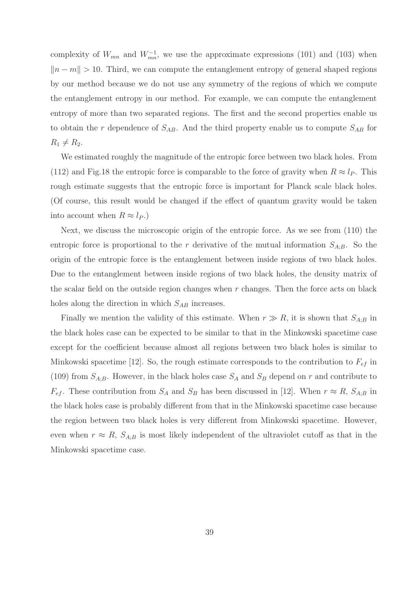complexity of  $W_{mn}$  and  $W_{mn}^{-1}$ , we use the approximate expressions (101) and (103) when  $||n - m|| > 10$ . Third, we can compute the entanglement entropy of general shaped regions by our method because we do not use any symmetry of the regions of which we compute the entanglement entropy in our method. For example, we can compute the entanglement entropy of more than two separated regions. The first and the second properties enable us to obtain the r dependence of  $S_{AB}$ . And the third property enable us to compute  $S_{AB}$  for  $R_1 \neq R_2$ .

We estimated roughly the magnitude of the entropic force between two black holes. From (112) and Fig.18 the entropic force is comparable to the force of gravity when  $R \approx l_P$ . This rough estimate suggests that the entropic force is important for Planck scale black holes. (Of course, this result would be changed if the effect of quantum gravity would be taken into account when  $R \approx l_P$ .)

Next, we discuss the microscopic origin of the entropic force. As we see from (110) the entropic force is proportional to the r derivative of the mutual information  $S_{A,B}$ . So the origin of the entropic force is the entanglement between inside regions of two black holes. Due to the entanglement between inside regions of two black holes, the density matrix of the scalar field on the outside region changes when  $r$  changes. Then the force acts on black holes along the direction in which  $S_{AB}$  increases.

Finally we mention the validity of this estimate. When  $r \gg R$ , it is shown that  $S_{A;B}$  in the black holes case can be expected to be similar to that in the Minkowski spacetime case except for the coefficient because almost all regions between two black holes is similar to Minkowski spacetime [12]. So, the rough estimate corresponds to the contribution to  $F_{ef}$  in (109) from  $S_{A;B}$ . However, in the black holes case  $S_A$  and  $S_B$  depend on r and contribute to  $F_{ef}$ . These contribution from  $S_A$  and  $S_B$  has been discussed in [12]. When  $r \approx R$ ,  $S_{A,B}$  in the black holes case is probably different from that in the Minkowski spacetime case because the region between two black holes is very different from Minkowski spacetime. However, even when  $r \approx R$ ,  $S_{A;B}$  is most likely independent of the ultraviolet cutoff as that in the Minkowski spacetime case.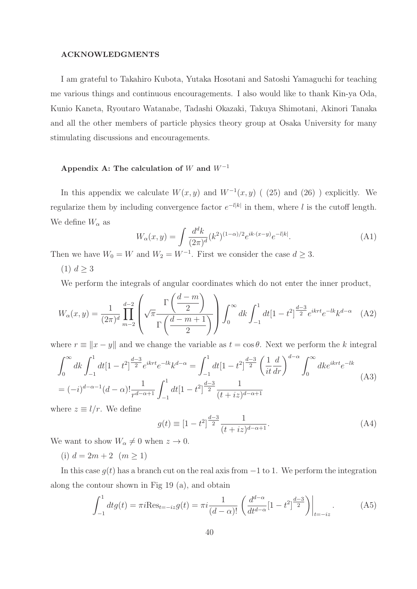#### ACKNOWLEDGMENTS

I am grateful to Takahiro Kubota, Yutaka Hosotani and Satoshi Yamaguchi for teaching me various things and continuous encouragements. I also would like to thank Kin-ya Oda, Kunio Kaneta, Ryoutaro Watanabe, Tadashi Okazaki, Takuya Shimotani, Akinori Tanaka and all the other members of particle physics theory group at Osaka University for many stimulating discussions and encouragements.

### Appendix A: The calculation of W and  $W^{-1}$

In this appendix we calculate  $W(x, y)$  and  $W^{-1}(x, y)$  ( (25) and (26) ) explicitly. We regularize them by including convergence factor  $e^{-l|k|}$  in them, where l is the cutoff length. We define  $W_{\alpha}$  as

$$
W_{\alpha}(x,y) = \int \frac{d^d k}{(2\pi)^d} (k^2)^{(1-\alpha)/2} e^{ik \cdot (x-y)} e^{-l|k|}.
$$
 (A1)

Then we have  $W_0 = W$  and  $W_2 = W^{-1}$ . First we consider the case  $d \geq 3$ .

 $(1) d \geq 3$ 

We perform the integrals of angular coordinates which do not enter the inner product,

$$
W_{\alpha}(x,y) = \frac{1}{(2\pi)^{d}} \prod_{m=2}^{d-2} \left( \sqrt{\pi} \frac{\Gamma\left(\frac{d-m}{2}\right)}{\Gamma\left(\frac{d-m+1}{2}\right)} \right) \int_{0}^{\infty} dk \int_{-1}^{1} dt \left[1 - t^{2}\right]^{\frac{d-3}{2}} e^{iktt} e^{-lk} k^{d-\alpha} \quad (A2)
$$

where  $r \equiv ||x - y||$  and we change the variable as  $t = \cos \theta$ . Next we perform the k integral

$$
\int_0^\infty dk \int_{-1}^1 dt \left[1 - t^2\right] \frac{d-3}{2} e^{ikrt} e^{-lk} k^{d-\alpha} = \int_{-1}^1 dt \left[1 - t^2\right] \frac{d-3}{2} \left(\frac{1}{it} \frac{d}{dr}\right)^{d-\alpha} \int_0^\infty dk e^{ikrt} e^{-lk}
$$
\n
$$
= (-i)^{d-\alpha-1} (d-\alpha)! \frac{1}{r^{d-\alpha+1}} \int_{-1}^1 dt \left[1 - t^2\right] \frac{d-3}{2} \frac{1}{(t+iz)^{d-\alpha+1}}
$$
\n(A3)

where  $z \equiv l/r$ . We define

$$
g(t) \equiv [1 - t^2]^{\frac{d-3}{2}} \frac{1}{(t + iz)^{d-\alpha+1}}.
$$
\n(A4)

We want to show  $W_{\alpha} \neq 0$  when  $z \to 0$ .

(i)  $d = 2m + 2$   $(m \ge 1)$ 

In this case  $q(t)$  has a branch cut on the real axis from  $-1$  to 1. We perform the integration along the contour shown in Fig 19 (a), and obtain

$$
\int_{-1}^{1} dt g(t) = \pi i \text{Res}_{t=-iz} g(t) = \pi i \frac{1}{(d-\alpha)!} \left( \frac{d^{d-\alpha}}{dt^{d-\alpha}} [1-t^2] \frac{d-3}{2} \right) \Big|_{t=-iz}.
$$
 (A5)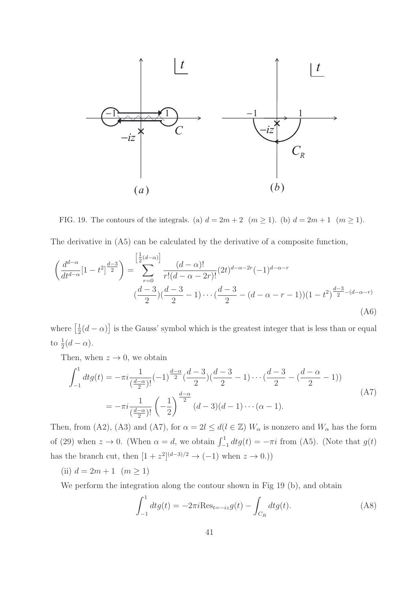

FIG. 19. The contours of the integrals. (a)  $d = 2m + 2$   $(m \ge 1)$ . (b)  $d = 2m + 1$   $(m \ge 1)$ .

The derivative in (A5) can be calculated by the derivative of a composite function,

$$
\left(\frac{d^{d-\alpha}}{dt^{d-\alpha}}[1-t^2]^{\frac{d-3}{2}}\right) = \sum_{r=0}^{\left[\frac{1}{2}(d-\alpha)\right]} \frac{(d-\alpha)!}{r!(d-\alpha-2r)!} (2t)^{d-\alpha-2r}(-1)^{d-\alpha-r} \n\left(\frac{d-3}{2}\right)\left(\frac{d-3}{2}-1\right)\cdots\left(\frac{d-3}{2}-(d-\alpha-r-1)\right)(1-t^2)^{\frac{d-3}{2}-(d-\alpha-r)} \tag{A6}
$$

where  $\left[\frac{1}{2}(d-\alpha)\right]$  is the Gauss' symbol which is the greatest integer that is less than or equal to  $\frac{1}{2}(d-\alpha)$ .

Then, when  $z \to 0$ , we obtain

$$
\int_{-1}^{1} dt g(t) = -\pi i \frac{1}{\left(\frac{d-\alpha}{2}\right)!} (-1)^{\frac{d-\alpha}{2}} \left(\frac{d-3}{2}\right) \left(\frac{d-3}{2} - 1\right) \cdots \left(\frac{d-3}{2} - \left(\frac{d-\alpha}{2} - 1\right)\right)
$$
\n
$$
= -\pi i \frac{1}{\left(\frac{d-\alpha}{2}\right)!} \left(-\frac{1}{2}\right)^{\frac{d-\alpha}{2}} (d-3)(d-1) \cdots (\alpha-1).
$$
\n(A7)

Then, from (A2), (A3) and (A7), for  $\alpha = 2l \leq d(l \in \mathbb{Z}) W_{\alpha}$  is nonzero and  $W_{\alpha}$  has the form of (29) when  $z \to 0$ . (When  $\alpha = d$ , we obtain  $\int_{-1}^{1} dt g(t) = -\pi i$  from (A5). (Note that  $g(t)$ has the branch cut, then  $[1 + z^2]^{(d-3)/2} \rightarrow (-1)$  when  $z \rightarrow 0$ .)

(ii)  $d = 2m + 1$   $(m \ge 1)$ 

We perform the integration along the contour shown in Fig 19 (b), and obtain

$$
\int_{-1}^{1} dt g(t) = -2\pi i \text{Res}_{t=-iz} g(t) - \int_{C_R} dt g(t).
$$
 (A8)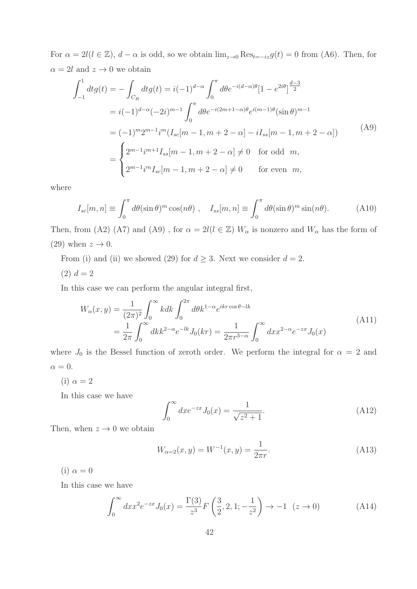For  $\alpha = 2l(l \in \mathbb{Z})$ ,  $d - \alpha$  is odd, so we obtain  $\lim_{z\to 0} \text{Res}_{t=-iz} g(t) = 0$  from (A6). Then, for  $\alpha = 2l$  and  $z \to 0$  we obtain

$$
\int_{-1}^{1} dt g(t) = -\int_{C_R} dt g(t) = i(-1)^{d-\alpha} \int_{0}^{\pi} d\theta e^{-i(d-\alpha)\theta} [1 - e^{2i\theta}]^{\frac{d-3}{2}}
$$
  
\n
$$
= i(-1)^{d-\alpha} (-2i)^{m-1} \int_{0}^{\pi} d\theta e^{-i(2m+1-\alpha)\theta} e^{i(m-1)\theta} (\sin \theta)^{m-1}
$$
  
\n
$$
= (-1)^{m} 2^{m-1} i^{m} (I_{sc}[m-1, m+2-\alpha] - iI_{ss}[m-1, m+2-\alpha])
$$
  
\n
$$
= \begin{cases} 2^{m-1} i^{m+1} I_{ss}[m-1, m+2-\alpha] \neq 0 & \text{for odd } m, \\ 2^{m-1} i^{m} I_{sc}[m-1, m+2-\alpha] \neq 0 & \text{for even } m, \end{cases}
$$
\n(A9)

where

$$
I_{sc}[m,n] \equiv \int_0^{\pi} d\theta (\sin \theta)^m \cos(n\theta) , \quad I_{ss}[m,n] \equiv \int_0^{\pi} d\theta (\sin \theta)^m \sin(n\theta). \tag{A10}
$$

Then, from (A2) (A7) and (A9), for  $\alpha = 2l(l \in \mathbb{Z}) W_{\alpha}$  is nonzero and  $W_{\alpha}$  has the form of (29) when  $z \to 0$ .

From (i) and (ii) we showed (29) for  $d \geq 3$ . Next we consider  $d = 2$ .

 $(2) d = 2$ 

In this case we can perform the angular integral first,

$$
W_{\alpha}(x,y) = \frac{1}{(2\pi)^2} \int_0^{\infty} k dk \int_0^{2\pi} d\theta k^{1-\alpha} e^{ikr \cos\theta - lk}
$$
  
= 
$$
\frac{1}{2\pi} \int_0^{\infty} dk k^{2-\alpha} e^{-lk} J_0(kr) = \frac{1}{2\pi r^{3-\alpha}} \int_0^{\infty} dx x^{2-\alpha} e^{-zx} J_0(x)
$$
 (A11)

where  $J_0$  is the Bessel function of zeroth order. We perform the integral for  $\alpha = 2$  and  $\alpha = 0.$ 

(i)  $\alpha = 2$ 

In this case we have

$$
\int_0^\infty dx e^{-zx} J_0(x) = \frac{1}{\sqrt{z^2 + 1}}.
$$
\n(A12)

Then, when  $z \to 0$  we obtain

$$
W_{\alpha=2}(x,y) = W^{-1}(x,y) = \frac{1}{2\pi r}.
$$
\n(A13)

(i)  $\alpha = 0$ 

In this case we have

$$
\int_0^\infty dx x^2 e^{-zx} J_0(x) = \frac{\Gamma(3)}{z^3} F\left(\frac{3}{2}, 2, 1; -\frac{1}{z^2}\right) \to -1 \quad (z \to 0)
$$
 (A14)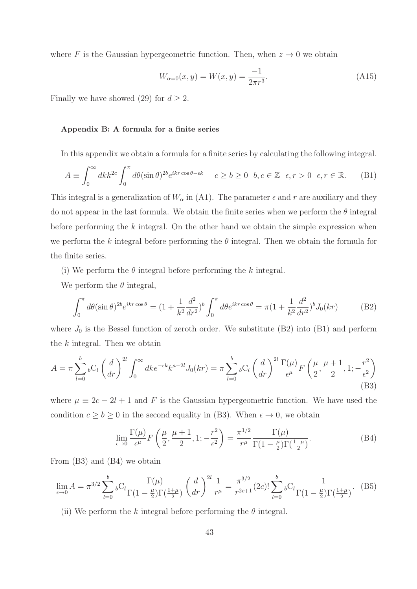where F is the Gaussian hypergeometric function. Then, when  $z \to 0$  we obtain

$$
W_{\alpha=0}(x,y) = W(x,y) = \frac{-1}{2\pi r^3}.
$$
\n(A15)

Finally we have showed (29) for  $d \geq 2$ .

### Appendix B: A formula for a finite series

In this appendix we obtain a formula for a finite series by calculating the following integral.

$$
A \equiv \int_0^\infty dk k^{2c} \int_0^\pi d\theta (\sin \theta)^{2b} e^{ikr \cos \theta - \epsilon k} \quad c \ge b \ge 0 \quad b, c \in \mathbb{Z} \quad \epsilon, r > 0 \quad \epsilon, r \in \mathbb{R}. \tag{B1}
$$

This integral is a generalization of  $W_{\alpha}$  in (A1). The parameter  $\epsilon$  and r are auxiliary and they do not appear in the last formula. We obtain the finite series when we perform the  $\theta$  integral before performing the  $k$  integral. On the other hand we obtain the simple expression when we perform the k integral before performing the  $\theta$  integral. Then we obtain the formula for the finite series.

(i) We perform the  $\theta$  integral before performing the k integral.

We perform the  $\theta$  integral,

$$
\int_0^{\pi} d\theta (\sin \theta)^{2b} e^{ikr \cos \theta} = (1 + \frac{1}{k^2} \frac{d^2}{dr^2})^b \int_0^{\pi} d\theta e^{ikr \cos \theta} = \pi (1 + \frac{1}{k^2} \frac{d^2}{dr^2})^b J_0(kr)
$$
(B2)

where  $J_0$  is the Bessel function of zeroth order. We substitute (B2) into (B1) and perform the  $k$  integral. Then we obtain

$$
A = \pi \sum_{l=0}^{b} {}_{b}C_{l} \left(\frac{d}{dr}\right)^{2l} \int_{0}^{\infty} dk e^{-\epsilon k} k^{a-2l} J_{0}(kr) = \pi \sum_{l=0}^{b} {}_{b}C_{l} \left(\frac{d}{dr}\right)^{2l} \frac{\Gamma(\mu)}{\epsilon^{\mu}} F\left(\frac{\mu}{2}, \frac{\mu+1}{2}, 1; -\frac{r^{2}}{\epsilon^{2}}\right)
$$
\n(B3)

where  $\mu \equiv 2c - 2l + 1$  and F is the Gaussian hypergeometric function. We have used the condition  $c \ge b \ge 0$  in the second equality in (B3). When  $\epsilon \to 0$ , we obtain

$$
\lim_{\epsilon \to 0} \frac{\Gamma(\mu)}{\epsilon^{\mu}} F\left(\frac{\mu}{2}, \frac{\mu+1}{2}, 1; -\frac{r^2}{\epsilon^2}\right) = \frac{\pi^{1/2}}{r^{\mu}} \frac{\Gamma(\mu)}{\Gamma(1 - \frac{\mu}{2}) \Gamma(\frac{1+\mu}{2})}.
$$
\n(B4)

From (B3) and (B4) we obtain

$$
\lim_{\epsilon \to 0} A = \pi^{3/2} \sum_{l=0}^{b} \, {}_bC_l \frac{\Gamma(\mu)}{\Gamma(1 - \frac{\mu}{2}) \Gamma(\frac{1 + \mu}{2})} \left(\frac{d}{dr}\right)^{2l} \frac{1}{r^{\mu}} = \frac{\pi^{3/2}}{r^{2c+1}} (2c)! \sum_{l=0}^{b} \, {}_bC_l \frac{1}{\Gamma(1 - \frac{\mu}{2}) \Gamma(\frac{1 + \mu}{2})} . \tag{B5}
$$

(ii) We perform the k integral before performing the  $\theta$  integral.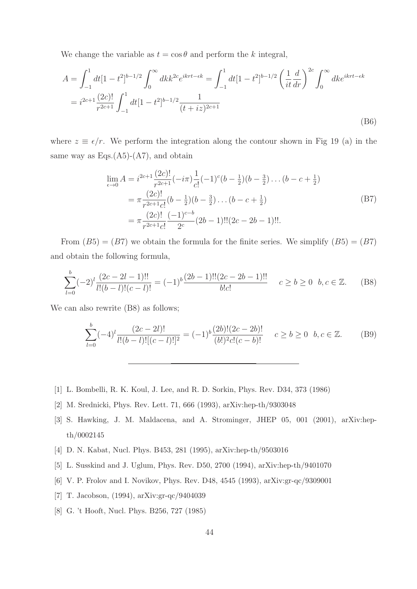We change the variable as  $t = \cos \theta$  and perform the k integral,

$$
A = \int_{-1}^{1} dt \left[1 - t^2\right]^{b - 1/2} \int_{0}^{\infty} dk k^{2c} e^{ikt - \epsilon k} = \int_{-1}^{1} dt \left[1 - t^2\right]^{b - 1/2} \left(\frac{1}{it} \frac{d}{dr}\right)^{2c} \int_{0}^{\infty} dk e^{ikt - \epsilon k}
$$
  
=  $i^{2c+1} \frac{(2c)!}{r^{2c+1}} \int_{-1}^{1} dt \left[1 - t^2\right]^{b - 1/2} \frac{1}{(t + iz)^{2c+1}}$  (B6)

where  $z \equiv \epsilon/r$ . We perform the integration along the contour shown in Fig 19 (a) in the same way as  $Eqs. (A5)-(A7)$ , and obtain

$$
\lim_{\epsilon \to 0} A = i^{2c+1} \frac{(2c)!}{r^{2c+1}} (-i\pi) \frac{1}{c!} (-1)^c (b - \frac{1}{2})(b - \frac{3}{2}) \dots (b - c + \frac{1}{2})
$$
\n
$$
= \pi \frac{(2c)!}{r^{2c+1}c!} (b - \frac{1}{2})(b - \frac{3}{2}) \dots (b - c + \frac{1}{2})
$$
\n
$$
= \pi \frac{(2c)!}{r^{2c+1}c!} \frac{(-1)^{c-b}}{2^c} (2b - 1)!! (2c - 2b - 1)!!.
$$
\n(B7)

From  $(B5) = (B7)$  we obtain the formula for the finite series. We simplify  $(B5) = (B7)$ and obtain the following formula,

$$
\sum_{l=0}^{b} (-2)^{l} \frac{(2c-2l-1)!!}{l!(b-l)!(c-l)!} = (-1)^{b} \frac{(2b-1)!!(2c-2b-1)!!}{b!c!} \quad c \ge b \ge 0 \quad b, c \in \mathbb{Z}.
$$
 (B8)

We can also rewrite  $(B8)$  as follows;

$$
\sum_{l=0}^{b} (-4)^{l} \frac{(2c-2l)!}{l!(b-l)![(c-l)!]^2} = (-1)^{b} \frac{(2b)!(2c-2b)!}{(b!)^2 c!(c-b)!} \quad c \ge b \ge 0 \quad b, c \in \mathbb{Z}.
$$
 (B9)

- [1] L. Bombelli, R. K. Koul, J. Lee, and R. D. Sorkin, Phys. Rev. D34, 373 (1986)
- [2] M. Srednicki, Phys. Rev. Lett. 71, 666 (1993), arXiv:hep-th/9303048
- [3] S. Hawking, J. M. Maldacena, and A. Strominger, JHEP 05, 001 (2001), arXiv:hepth/0002145
- [4] D. N. Kabat, Nucl. Phys. B453, 281 (1995), arXiv:hep-th/9503016
- [5] L. Susskind and J. Uglum, Phys. Rev. D50, 2700 (1994), arXiv:hep-th/9401070
- [6] V. P. Frolov and I. Novikov, Phys. Rev. D48, 4545 (1993), arXiv:gr-qc/9309001
- [7] T. Jacobson, (1994), arXiv:gr-qc/9404039
- [8] G. 't Hooft, Nucl. Phys. B256, 727 (1985)